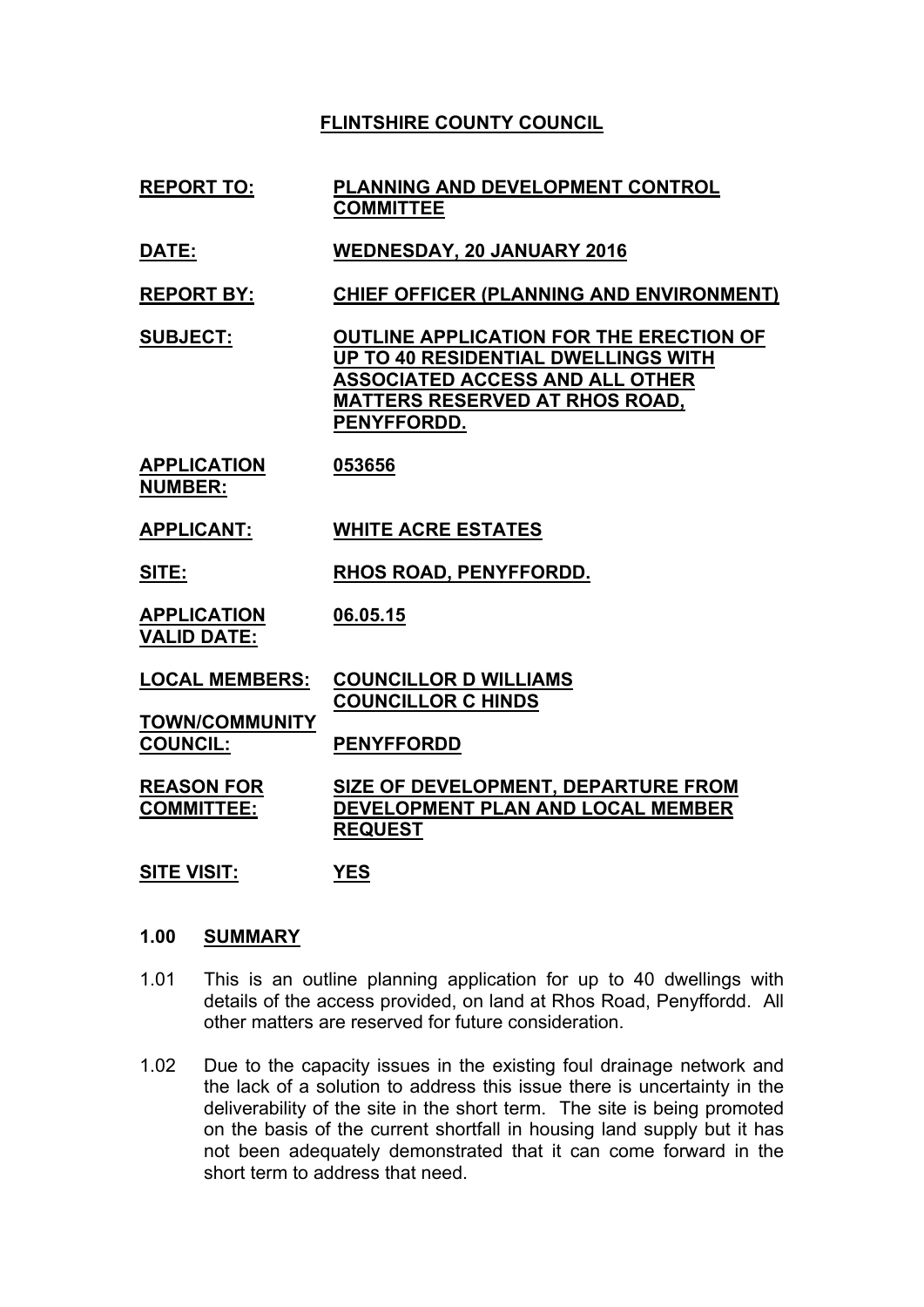# **FLINTSHIRE COUNTY COUNCIL**

- **REPORT TO: PLANNING AND DEVELOPMENT CONTROL COMMITTEE**
- **DATE: WEDNESDAY, 20 JANUARY 2016**

**REPORT BY: CHIEF OFFICER (PLANNING AND ENVIRONMENT)**

**SUBJECT: OUTLINE APPLICATION FOR THE ERECTION OF UP TO 40 RESIDENTIAL DWELLINGS WITH ASSOCIATED ACCESS AND ALL OTHER MATTERS RESERVED AT RHOS ROAD, PENYFFORDD.**

**APPLICATION NUMBER: 053656**

**APPLICANT: WHITE ACRE ESTATES**

**SITE: RHOS ROAD, PENYFFORDD.**

**APPLICATION VALID DATE: 06.05.15**

**LOCAL MEMBERS: COUNCILLOR D WILLIAMS COUNCILLOR C HINDS**

**TOWN/COMMUNITY COUNCIL: PENYFFORDD**

**REASON FOR COMMITTEE: SIZE OF DEVELOPMENT, DEPARTURE FROM DEVELOPMENT PLAN AND LOCAL MEMBER REQUEST**

**SITE VISIT: YES**

### **1.00 SUMMARY**

- 1.01 This is an outline planning application for up to 40 dwellings with details of the access provided, on land at Rhos Road, Penyffordd. All other matters are reserved for future consideration.
- 1.02 Due to the capacity issues in the existing foul drainage network and the lack of a solution to address this issue there is uncertainty in the deliverability of the site in the short term. The site is being promoted on the basis of the current shortfall in housing land supply but it has not been adequately demonstrated that it can come forward in the short term to address that need.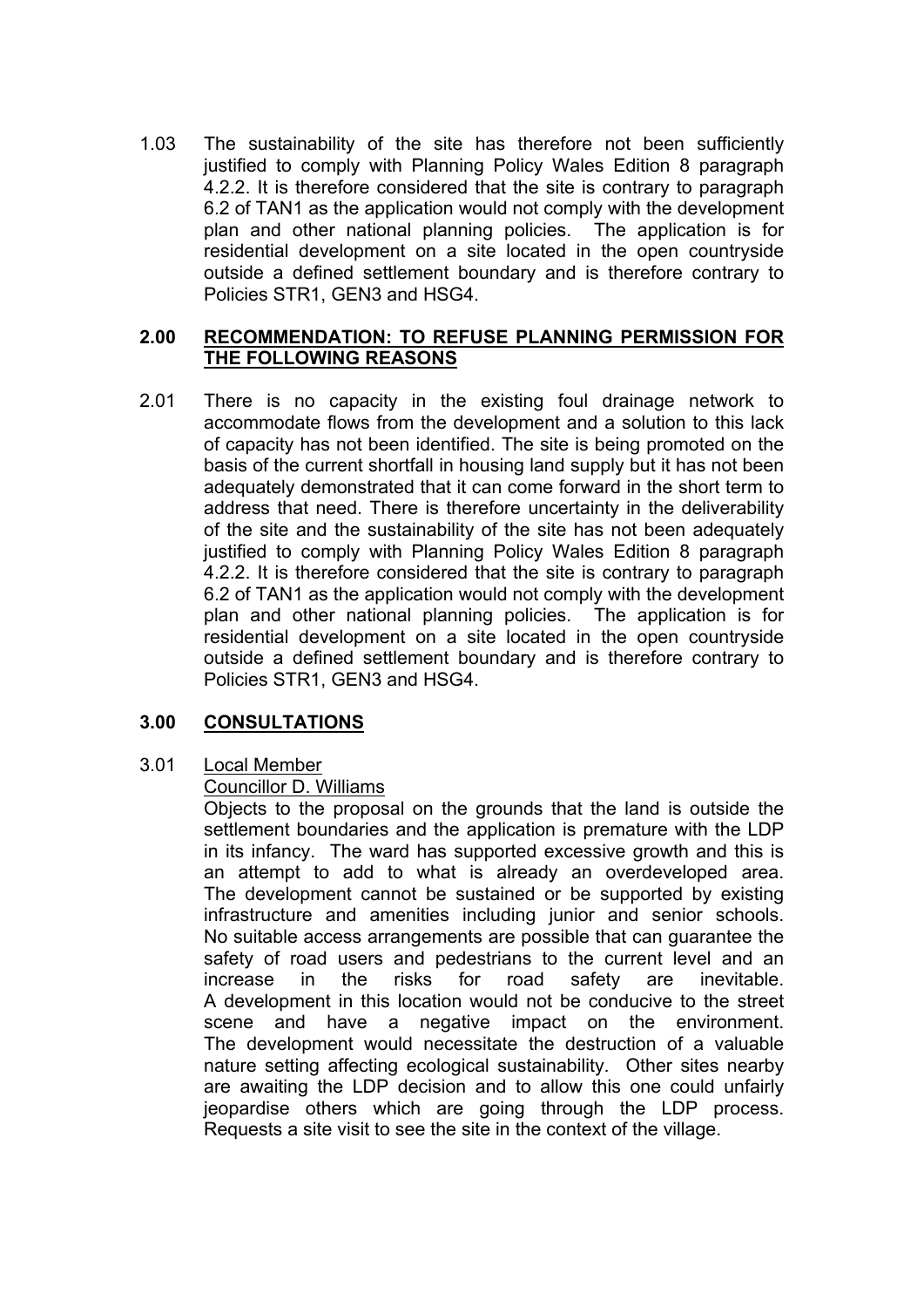1.03 The sustainability of the site has therefore not been sufficiently justified to comply with Planning Policy Wales Edition 8 paragraph 4.2.2. It is therefore considered that the site is contrary to paragraph 6.2 of TAN1 as the application would not comply with the development plan and other national planning policies. The application is for residential development on a site located in the open countryside outside a defined settlement boundary and is therefore contrary to Policies STR1, GEN3 and HSG4.

## **2.00 RECOMMENDATION: TO REFUSE PLANNING PERMISSION FOR THE FOLLOWING REASONS**

2.01 There is no capacity in the existing foul drainage network to accommodate flows from the development and a solution to this lack of capacity has not been identified. The site is being promoted on the basis of the current shortfall in housing land supply but it has not been adequately demonstrated that it can come forward in the short term to address that need. There is therefore uncertainty in the deliverability of the site and the sustainability of the site has not been adequately justified to comply with Planning Policy Wales Edition 8 paragraph 4.2.2. It is therefore considered that the site is contrary to paragraph 6.2 of TAN1 as the application would not comply with the development plan and other national planning policies. The application is for residential development on a site located in the open countryside outside a defined settlement boundary and is therefore contrary to Policies STR1, GEN3 and HSG4.

## **3.00 CONSULTATIONS**

3.01 Local Member

## Councillor D. Williams

Objects to the proposal on the grounds that the land is outside the settlement boundaries and the application is premature with the LDP in its infancy. The ward has supported excessive growth and this is an attempt to add to what is already an overdeveloped area. The development cannot be sustained or be supported by existing infrastructure and amenities including junior and senior schools. No suitable access arrangements are possible that can guarantee the safety of road users and pedestrians to the current level and an increase in the risks for road safety are inevitable. A development in this location would not be conducive to the street scene and have a negative impact on the environment. The development would necessitate the destruction of a valuable nature setting affecting ecological sustainability. Other sites nearby are awaiting the LDP decision and to allow this one could unfairly jeopardise others which are going through the LDP process. Requests a site visit to see the site in the context of the village.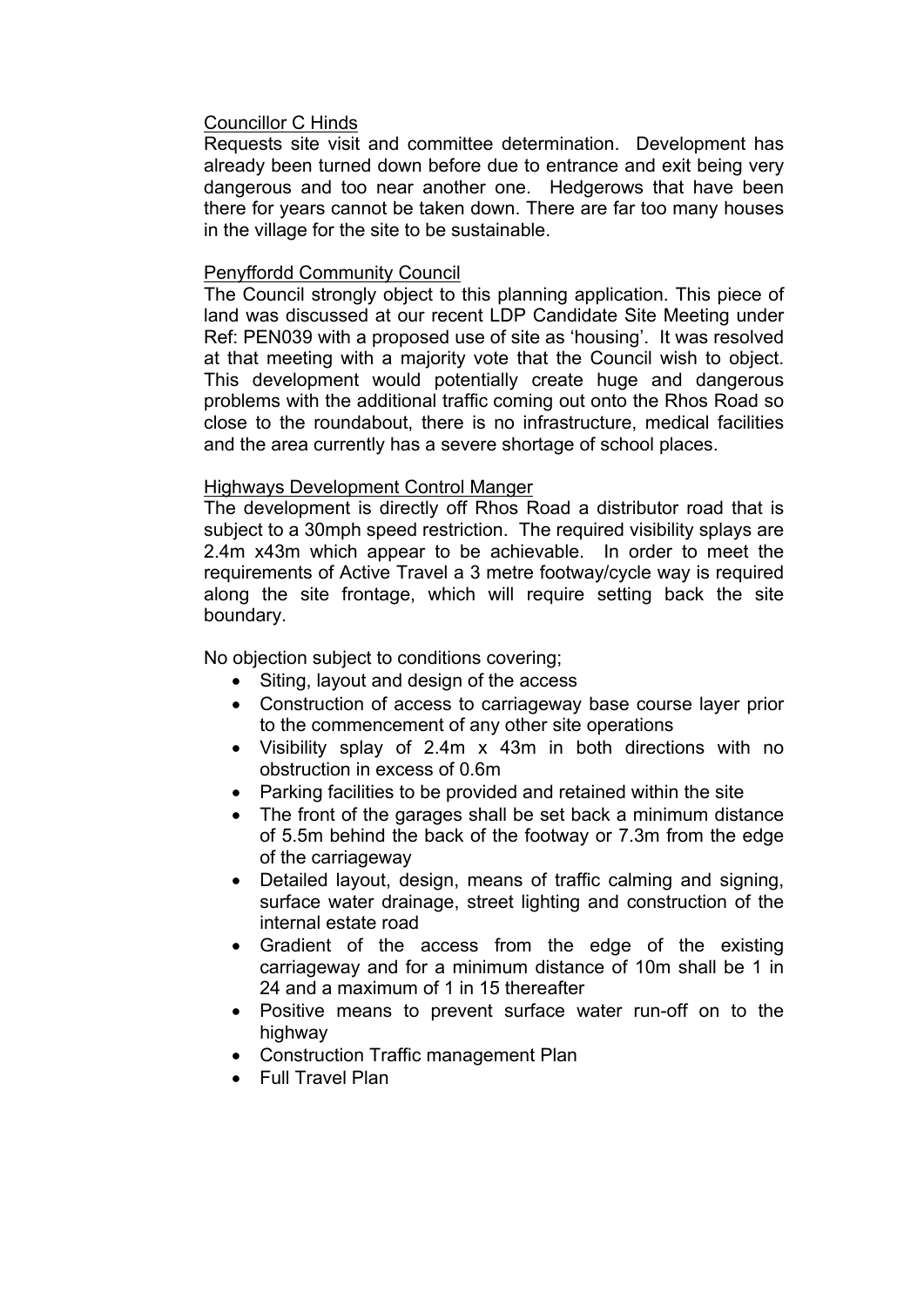### Councillor C Hinds

Requests site visit and committee determination. Development has already been turned down before due to entrance and exit being very dangerous and too near another one. Hedgerows that have been there for years cannot be taken down. There are far too many houses in the village for the site to be sustainable.

### Penyffordd Community Council

The Council strongly object to this planning application. This piece of land was discussed at our recent LDP Candidate Site Meeting under Ref: PEN039 with a proposed use of site as 'housing'. It was resolved at that meeting with a majority vote that the Council wish to object. This development would potentially create huge and dangerous problems with the additional traffic coming out onto the Rhos Road so close to the roundabout, there is no infrastructure, medical facilities and the area currently has a severe shortage of school places.

## Highways Development Control Manger

The development is directly off Rhos Road a distributor road that is subject to a 30mph speed restriction. The required visibility splays are 2.4m x43m which appear to be achievable. In order to meet the requirements of Active Travel a 3 metre footway/cycle way is required along the site frontage, which will require setting back the site boundary.

No objection subject to conditions covering;

- Siting, layout and design of the access
- Construction of access to carriageway base course layer prior to the commencement of any other site operations
- Visibility splay of 2.4m x 43m in both directions with no obstruction in excess of 0.6m
- Parking facilities to be provided and retained within the site
- The front of the garages shall be set back a minimum distance of 5.5m behind the back of the footway or 7.3m from the edge of the carriageway
- Detailed layout, design, means of traffic calming and signing, surface water drainage, street lighting and construction of the internal estate road
- Gradient of the access from the edge of the existing carriageway and for a minimum distance of 10m shall be 1 in 24 and a maximum of 1 in 15 thereafter
- Positive means to prevent surface water run-off on to the highway
- Construction Traffic management Plan
- Full Travel Plan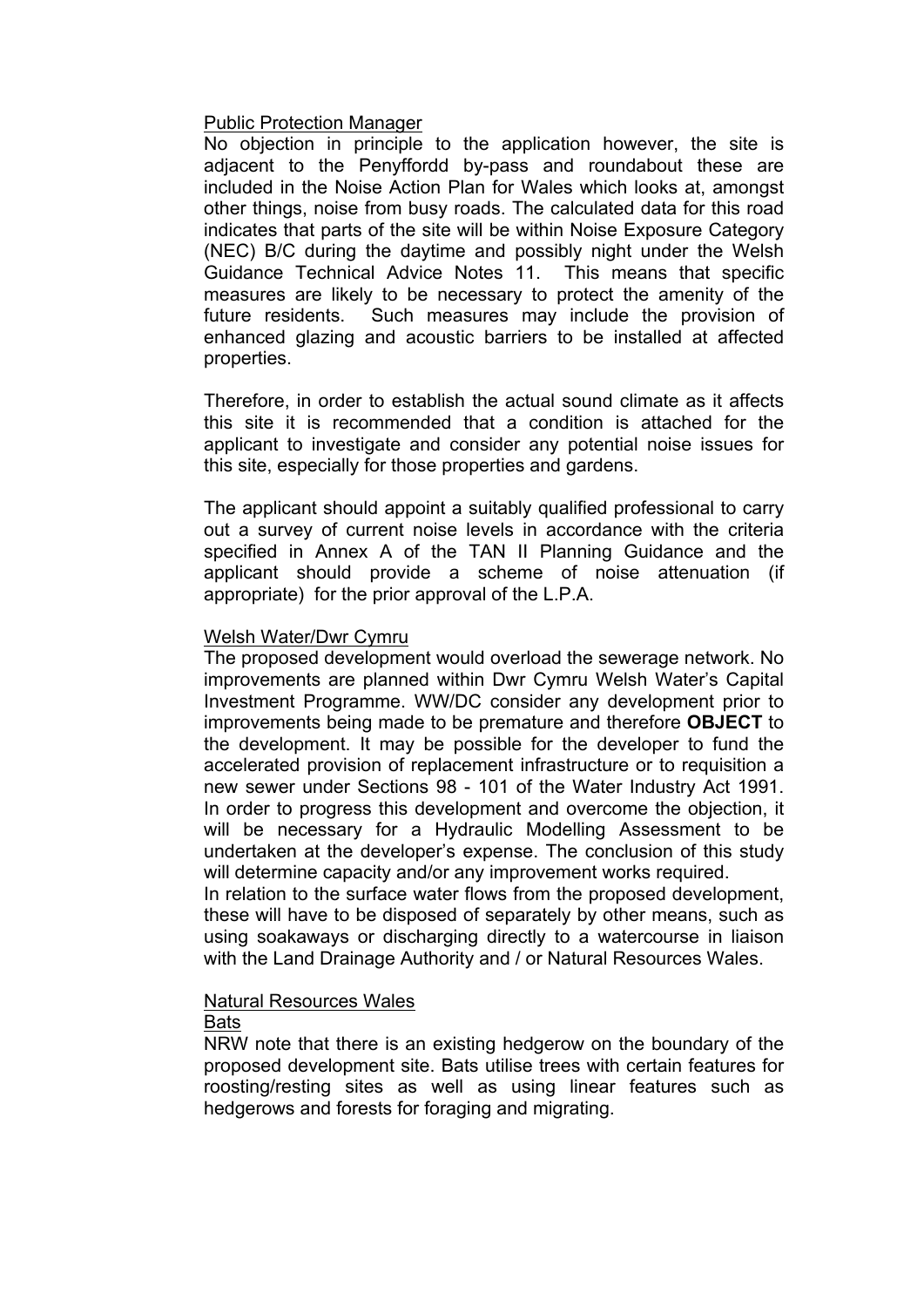### Public Protection Manager

No objection in principle to the application however, the site is adjacent to the Penyffordd by-pass and roundabout these are included in the Noise Action Plan for Wales which looks at, amongst other things, noise from busy roads. The calculated data for this road indicates that parts of the site will be within Noise Exposure Category (NEC) B/C during the daytime and possibly night under the Welsh Guidance Technical Advice Notes 11. This means that specific measures are likely to be necessary to protect the amenity of the future residents. Such measures may include the provision of enhanced glazing and acoustic barriers to be installed at affected properties.

Therefore, in order to establish the actual sound climate as it affects this site it is recommended that a condition is attached for the applicant to investigate and consider any potential noise issues for this site, especially for those properties and gardens.

The applicant should appoint a suitably qualified professional to carry out a survey of current noise levels in accordance with the criteria specified in Annex A of the TAN II Planning Guidance and the applicant should provide a scheme of noise attenuation (if appropriate) for the prior approval of the L.P.A.

### Welsh Water/Dwr Cymru

The proposed development would overload the sewerage network. No improvements are planned within Dwr Cymru Welsh Water's Capital Investment Programme. WW/DC consider any development prior to improvements being made to be premature and therefore **OBJECT** to the development. It may be possible for the developer to fund the accelerated provision of replacement infrastructure or to requisition a new sewer under Sections 98 - 101 of the Water Industry Act 1991. In order to progress this development and overcome the objection, it will be necessary for a Hydraulic Modelling Assessment to be undertaken at the developer's expense. The conclusion of this study will determine capacity and/or any improvement works required.

In relation to the surface water flows from the proposed development, these will have to be disposed of separately by other means, such as using soakaways or discharging directly to a watercourse in liaison with the Land Drainage Authority and / or Natural Resources Wales.

### Natural Resources Wales

### Bats

NRW note that there is an existing hedgerow on the boundary of the proposed development site. Bats utilise trees with certain features for roosting/resting sites as well as using linear features such as hedgerows and forests for foraging and migrating.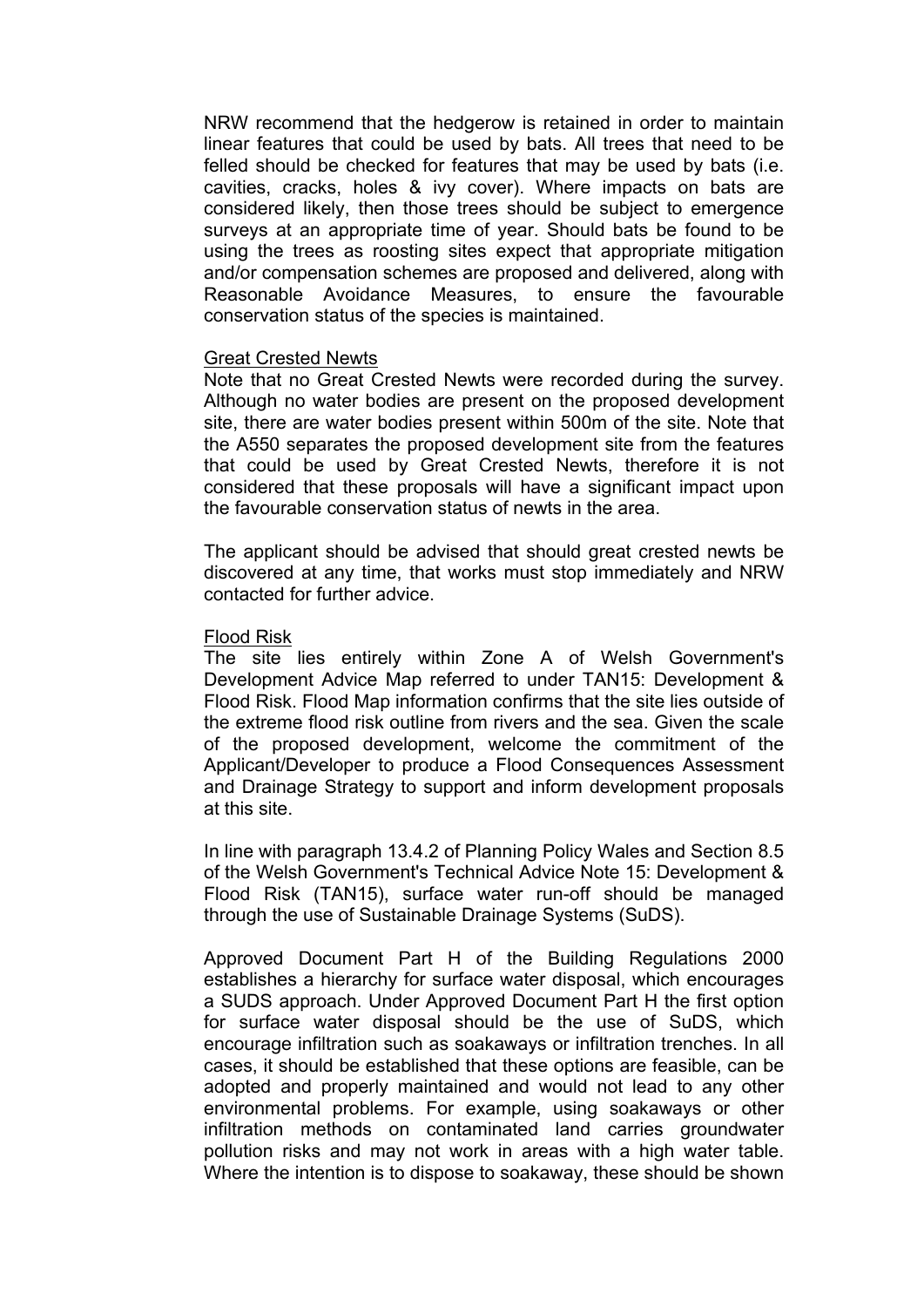NRW recommend that the hedgerow is retained in order to maintain linear features that could be used by bats. All trees that need to be felled should be checked for features that may be used by bats (i.e. cavities, cracks, holes & ivy cover). Where impacts on bats are considered likely, then those trees should be subject to emergence surveys at an appropriate time of year. Should bats be found to be using the trees as roosting sites expect that appropriate mitigation and/or compensation schemes are proposed and delivered, along with Reasonable Avoidance Measures, to ensure the favourable conservation status of the species is maintained.

#### Great Crested Newts

Note that no Great Crested Newts were recorded during the survey. Although no water bodies are present on the proposed development site, there are water bodies present within 500m of the site. Note that the A550 separates the proposed development site from the features that could be used by Great Crested Newts, therefore it is not considered that these proposals will have a significant impact upon the favourable conservation status of newts in the area.

The applicant should be advised that should great crested newts be discovered at any time, that works must stop immediately and NRW contacted for further advice.

#### Flood Risk

The site lies entirely within Zone A of Welsh Government's Development Advice Map referred to under TAN15: Development & Flood Risk. Flood Map information confirms that the site lies outside of the extreme flood risk outline from rivers and the sea. Given the scale of the proposed development, welcome the commitment of the Applicant/Developer to produce a Flood Consequences Assessment and Drainage Strategy to support and inform development proposals at this site.

In line with paragraph 13.4.2 of Planning Policy Wales and Section 8.5 of the Welsh Government's Technical Advice Note 15: Development & Flood Risk (TAN15), surface water run-off should be managed through the use of Sustainable Drainage Systems (SuDS).

Approved Document Part H of the Building Regulations 2000 establishes a hierarchy for surface water disposal, which encourages a SUDS approach. Under Approved Document Part H the first option for surface water disposal should be the use of SuDS, which encourage infiltration such as soakaways or infiltration trenches. In all cases, it should be established that these options are feasible, can be adopted and properly maintained and would not lead to any other environmental problems. For example, using soakaways or other infiltration methods on contaminated land carries groundwater pollution risks and may not work in areas with a high water table. Where the intention is to dispose to soakaway, these should be shown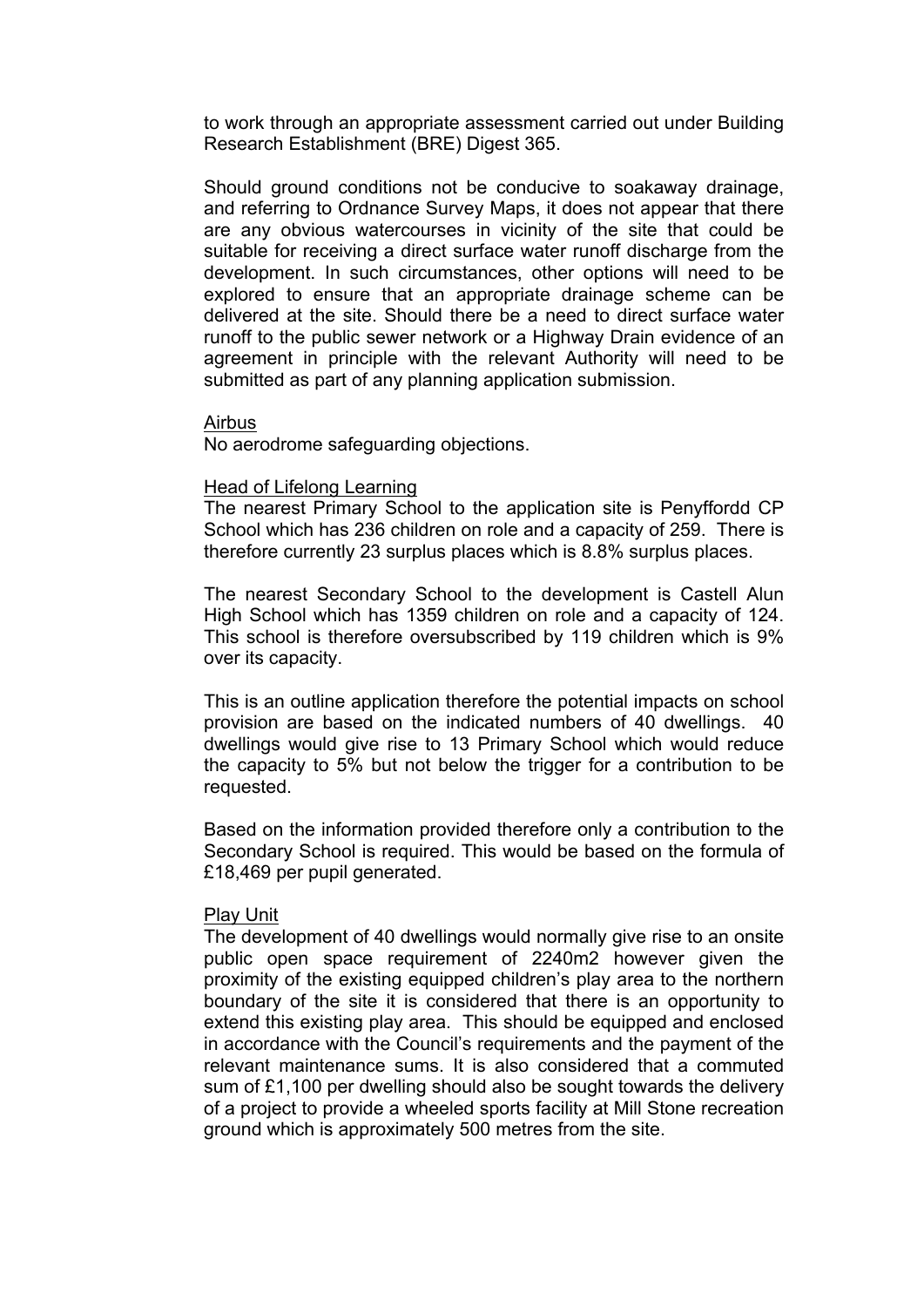to work through an appropriate assessment carried out under Building Research Establishment (BRE) Digest 365.

Should ground conditions not be conducive to soakaway drainage, and referring to Ordnance Survey Maps, it does not appear that there are any obvious watercourses in vicinity of the site that could be suitable for receiving a direct surface water runoff discharge from the development. In such circumstances, other options will need to be explored to ensure that an appropriate drainage scheme can be delivered at the site. Should there be a need to direct surface water runoff to the public sewer network or a Highway Drain evidence of an agreement in principle with the relevant Authority will need to be submitted as part of any planning application submission.

#### Airbus

No aerodrome safeguarding objections.

#### Head of Lifelong Learning

The nearest Primary School to the application site is Penyffordd CP School which has 236 children on role and a capacity of 259. There is therefore currently 23 surplus places which is 8.8% surplus places.

The nearest Secondary School to the development is Castell Alun High School which has 1359 children on role and a capacity of 124. This school is therefore oversubscribed by 119 children which is 9% over its capacity.

This is an outline application therefore the potential impacts on school provision are based on the indicated numbers of 40 dwellings. 40 dwellings would give rise to 13 Primary School which would reduce the capacity to 5% but not below the trigger for a contribution to be requested.

Based on the information provided therefore only a contribution to the Secondary School is required. This would be based on the formula of £18,469 per pupil generated.

#### Play Unit

The development of 40 dwellings would normally give rise to an onsite public open space requirement of 2240m2 however given the proximity of the existing equipped children's play area to the northern boundary of the site it is considered that there is an opportunity to extend this existing play area. This should be equipped and enclosed in accordance with the Council's requirements and the payment of the relevant maintenance sums. It is also considered that a commuted sum of £1,100 per dwelling should also be sought towards the delivery of a project to provide a wheeled sports facility at Mill Stone recreation ground which is approximately 500 metres from the site.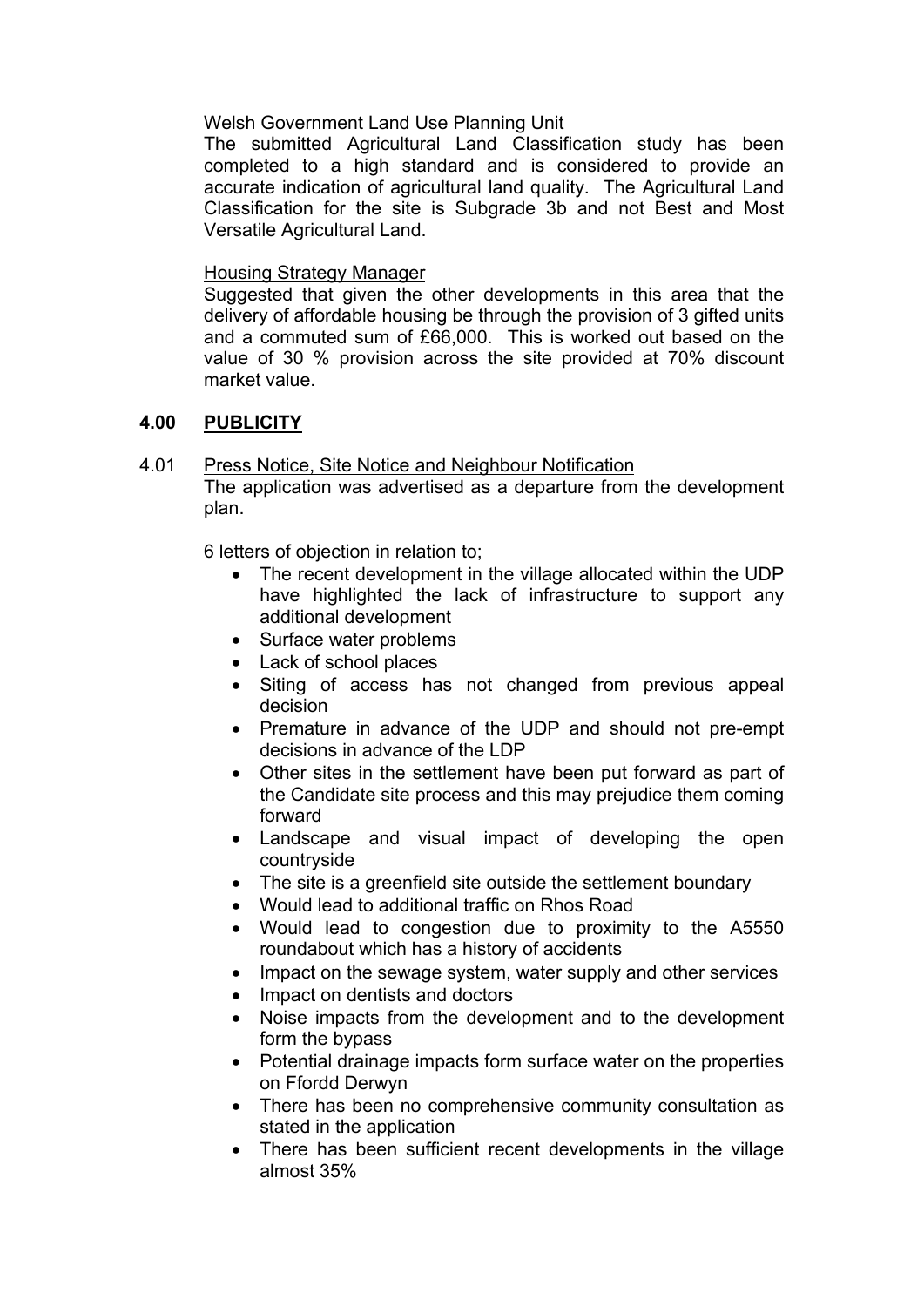# Welsh Government Land Use Planning Unit

The submitted Agricultural Land Classification study has been completed to a high standard and is considered to provide an accurate indication of agricultural land quality. The Agricultural Land Classification for the site is Subgrade 3b and not Best and Most Versatile Agricultural Land.

## Housing Strategy Manager

Suggested that given the other developments in this area that the delivery of affordable housing be through the provision of 3 gifted units and a commuted sum of £66,000. This is worked out based on the value of 30 % provision across the site provided at 70% discount market value.

## **4.00 PUBLICITY**

4.01 Press Notice, Site Notice and Neighbour Notification The application was advertised as a departure from the development plan.

6 letters of objection in relation to;

- The recent development in the village allocated within the UDP have highlighted the lack of infrastructure to support any additional development
- Surface water problems
- Lack of school places
- Siting of access has not changed from previous appeal decision
- Premature in advance of the UDP and should not pre-empt decisions in advance of the LDP
- Other sites in the settlement have been put forward as part of the Candidate site process and this may prejudice them coming forward
- Landscape and visual impact of developing the open countryside
- The site is a greenfield site outside the settlement boundary
- Would lead to additional traffic on Rhos Road
- Would lead to congestion due to proximity to the A5550 roundabout which has a history of accidents
- Impact on the sewage system, water supply and other services
- Impact on dentists and doctors
- Noise impacts from the development and to the development form the bypass
- Potential drainage impacts form surface water on the properties on Ffordd Derwyn
- There has been no comprehensive community consultation as stated in the application
- There has been sufficient recent developments in the village almost 35%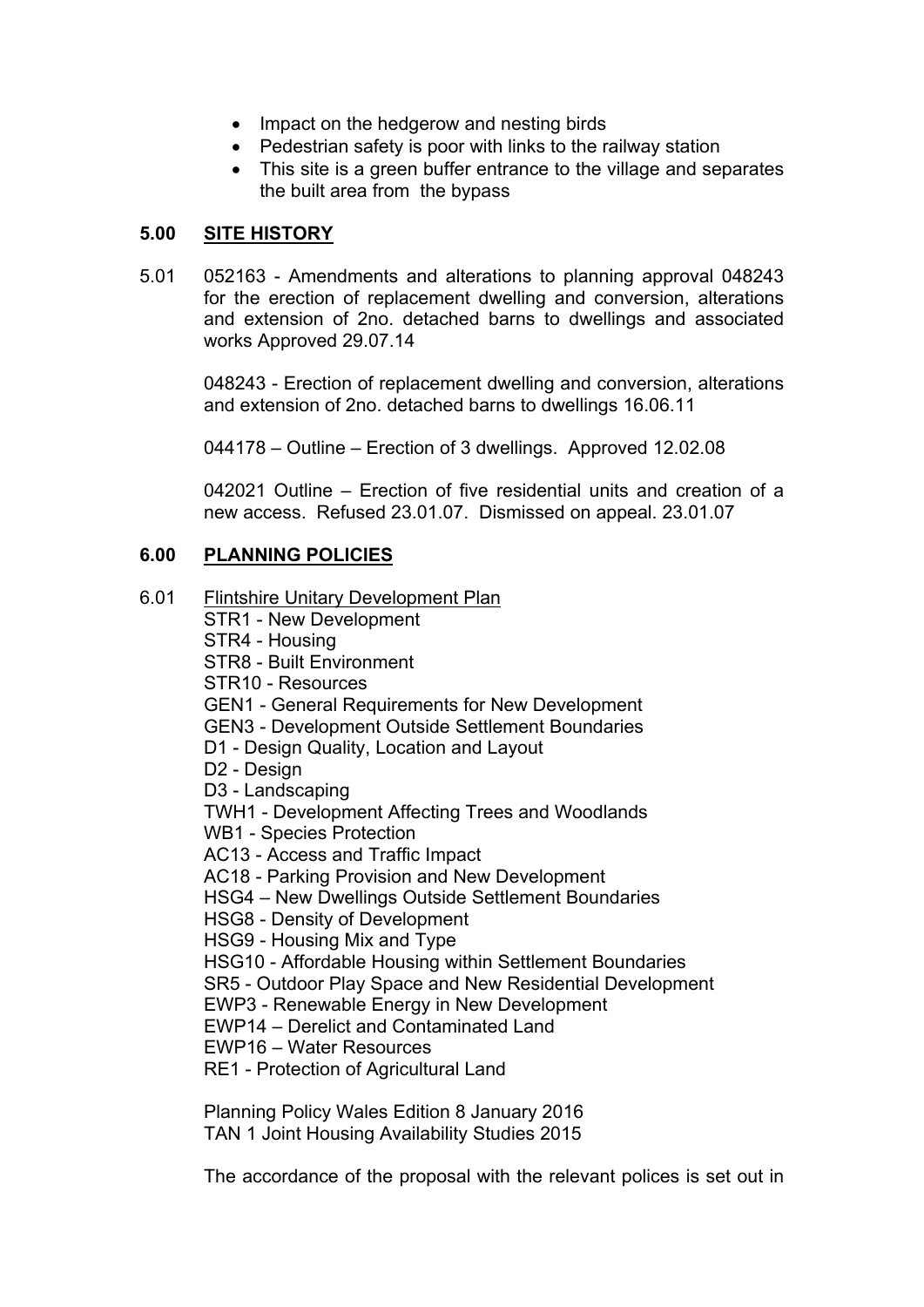- Impact on the hedgerow and nesting birds
- Pedestrian safety is poor with links to the railway station
- This site is a green buffer entrance to the village and separates the built area from the bypass

# **5.00 SITE HISTORY**

5.01 052163 - Amendments and alterations to planning approval 048243 for the erection of replacement dwelling and conversion, alterations and extension of 2no. detached barns to dwellings and associated works Approved 29.07.14

048243 - Erection of replacement dwelling and conversion, alterations and extension of 2no. detached barns to dwellings 16.06.11

044178 – Outline – Erection of 3 dwellings. Approved 12.02.08

042021 Outline – Erection of five residential units and creation of a new access. Refused 23.01.07. Dismissed on appeal. 23.01.07

# **6.00 PLANNING POLICIES**

6.01 Flintshire Unitary Development Plan STR1 - New Development STR4 - Housing STR8 - Built Environment STR10 - Resources GEN1 - General Requirements for New Development GEN3 - Development Outside Settlement Boundaries D1 - Design Quality, Location and Layout D<sub>2</sub> - Design D3 - Landscaping TWH1 - Development Affecting Trees and Woodlands WB1 - Species Protection AC13 - Access and Traffic Impact AC18 - Parking Provision and New Development HSG4 – New Dwellings Outside Settlement Boundaries HSG8 - Density of Development HSG9 - Housing Mix and Type HSG10 - Affordable Housing within Settlement Boundaries SR5 - Outdoor Play Space and New Residential Development EWP3 - Renewable Energy in New Development EWP14 – Derelict and Contaminated Land EWP16 – Water Resources RE1 - Protection of Agricultural Land Planning Policy Wales Edition 8 January 2016

TAN 1 Joint Housing Availability Studies 2015

The accordance of the proposal with the relevant polices is set out in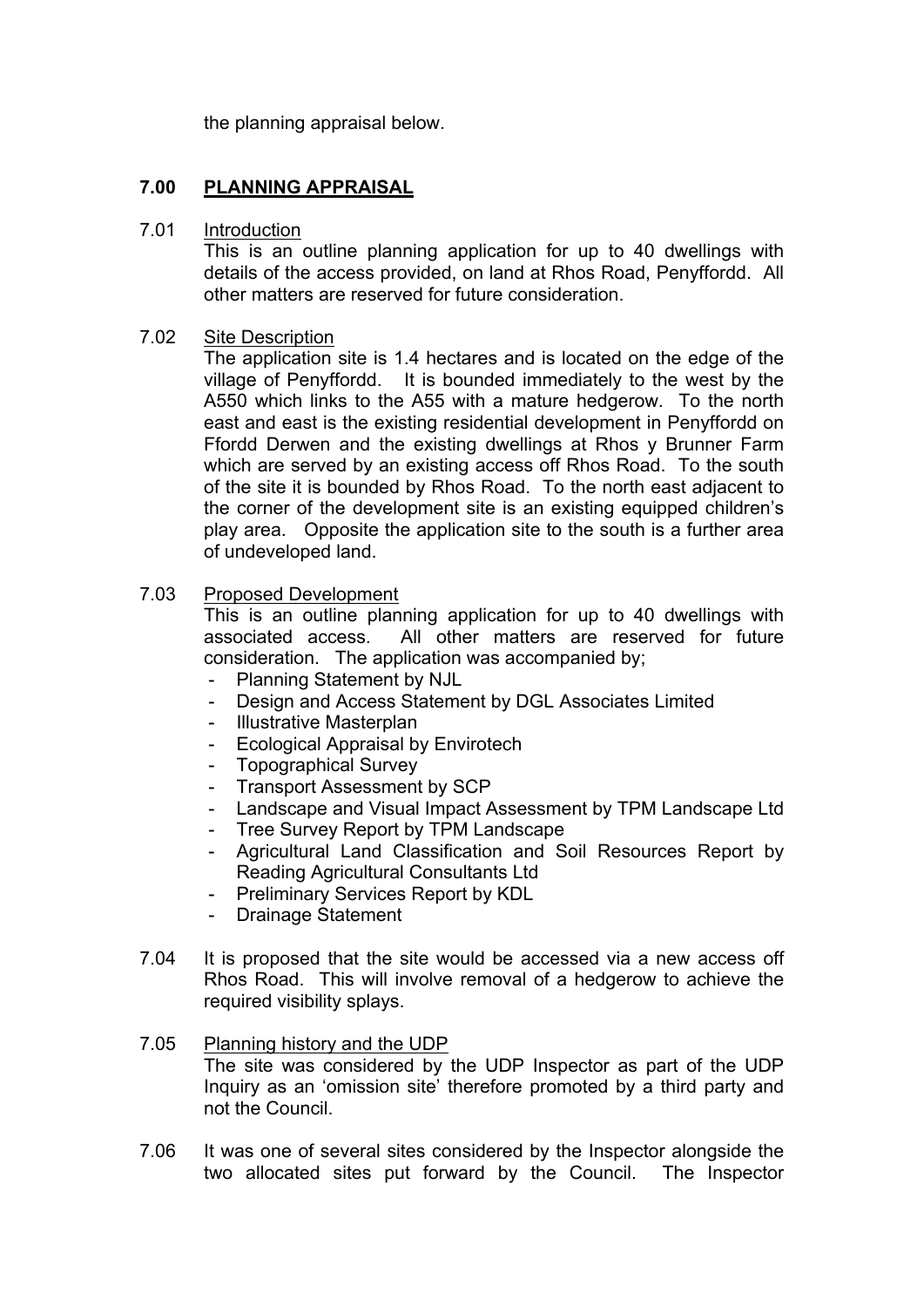the planning appraisal below.

## **7.00 PLANNING APPRAISAL**

7.01 Introduction

This is an outline planning application for up to 40 dwellings with details of the access provided, on land at Rhos Road, Penyffordd. All other matters are reserved for future consideration.

#### 7.02 Site Description

The application site is 1.4 hectares and is located on the edge of the village of Penyffordd. It is bounded immediately to the west by the A550 which links to the A55 with a mature hedgerow. To the north east and east is the existing residential development in Penyffordd on Ffordd Derwen and the existing dwellings at Rhos y Brunner Farm which are served by an existing access off Rhos Road. To the south of the site it is bounded by Rhos Road. To the north east adjacent to the corner of the development site is an existing equipped children's play area. Opposite the application site to the south is a further area of undeveloped land.

#### 7.03 Proposed Development

This is an outline planning application for up to 40 dwellings with associated access. All other matters are reserved for future consideration. The application was accompanied by;

- Planning Statement by NJL
- Design and Access Statement by DGL Associates Limited
- Illustrative Masterplan
- Ecological Appraisal by Envirotech
- Topographical Survey
- Transport Assessment by SCP
- Landscape and Visual Impact Assessment by TPM Landscape Ltd
- Tree Survey Report by TPM Landscape
- Agricultural Land Classification and Soil Resources Report by Reading Agricultural Consultants Ltd
- Preliminary Services Report by KDL
- Drainage Statement
- 7.04 It is proposed that the site would be accessed via a new access off Rhos Road. This will involve removal of a hedgerow to achieve the required visibility splays.
- 7.05 Planning history and the UDP The site was considered by the UDP Inspector as part of the UDP Inquiry as an 'omission site' therefore promoted by a third party and not the Council.
- 7.06 It was one of several sites considered by the Inspector alongside the two allocated sites put forward by the Council. The Inspector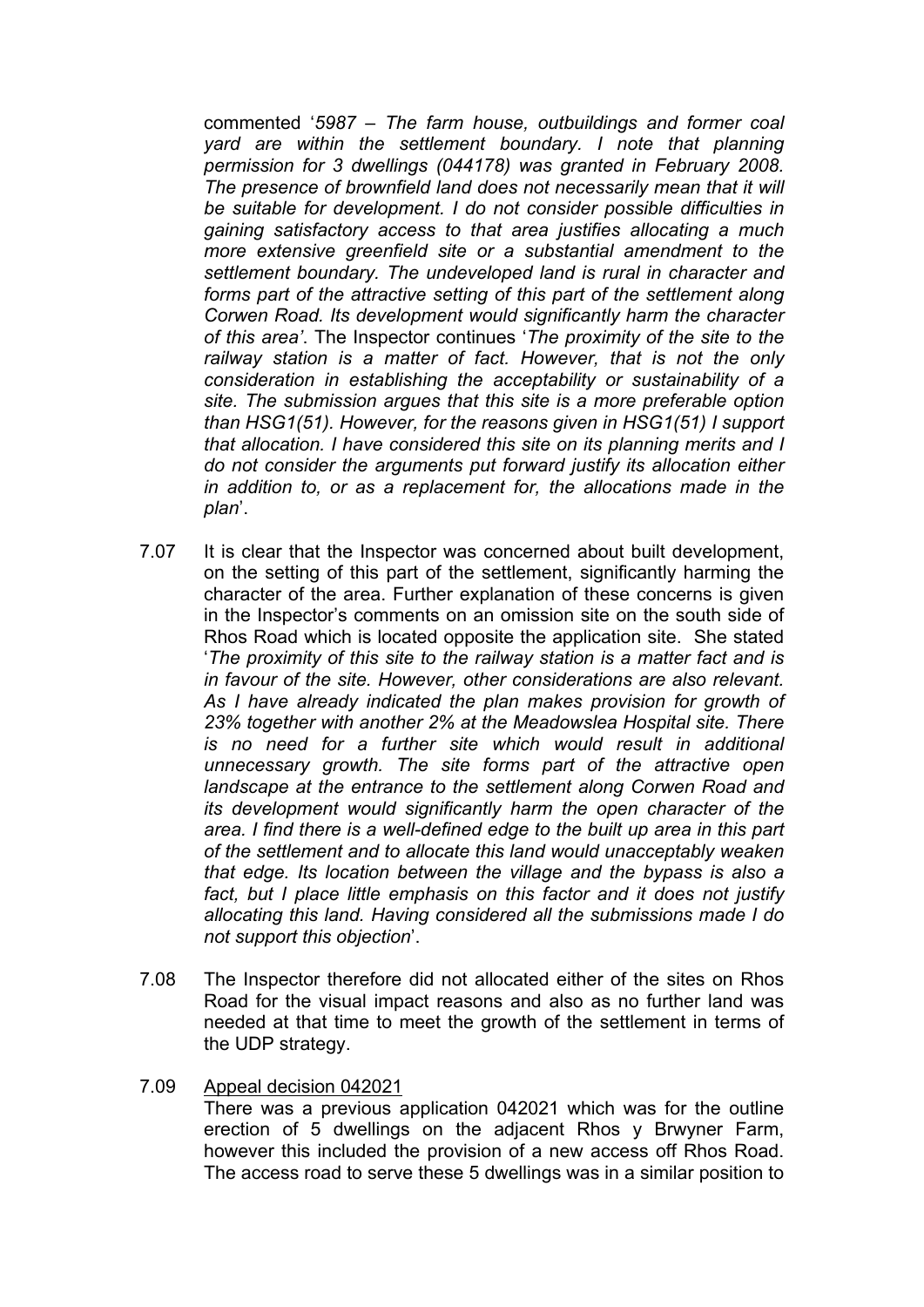commented '*5987 – The farm house, outbuildings and former coal yard are within the settlement boundary. I note that planning permission for 3 dwellings (044178) was granted in February 2008. The presence of brownfield land does not necessarily mean that it will be suitable for development. I do not consider possible difficulties in gaining satisfactory access to that area justifies allocating a much more extensive greenfield site or a substantial amendment to the settlement boundary. The undeveloped land is rural in character and forms part of the attractive setting of this part of the settlement along Corwen Road. Its development would significantly harm the character of this area'*. The Inspector continues '*The proximity of the site to the railway station is a matter of fact. However, that is not the only consideration in establishing the acceptability or sustainability of a site. The submission argues that this site is a more preferable option than HSG1(51). However, for the reasons given in HSG1(51) I support that allocation. I have considered this site on its planning merits and I do not consider the arguments put forward justify its allocation either in addition to, or as a replacement for, the allocations made in the plan*'.

- 7.07 It is clear that the Inspector was concerned about built development, on the setting of this part of the settlement, significantly harming the character of the area. Further explanation of these concerns is given in the Inspector's comments on an omission site on the south side of Rhos Road which is located opposite the application site. She stated '*The proximity of this site to the railway station is a matter fact and is in favour of the site. However, other considerations are also relevant. As I have already indicated the plan makes provision for growth of 23% together with another 2% at the Meadowslea Hospital site. There is no need for a further site which would result in additional unnecessary growth. The site forms part of the attractive open landscape at the entrance to the settlement along Corwen Road and its development would significantly harm the open character of the area. I find there is a well-defined edge to the built up area in this part of the settlement and to allocate this land would unacceptably weaken that edge. Its location between the village and the bypass is also a fact, but I place little emphasis on this factor and it does not justify allocating this land. Having considered all the submissions made I do not support this objection*'.
- 7.08 The Inspector therefore did not allocated either of the sites on Rhos Road for the visual impact reasons and also as no further land was needed at that time to meet the growth of the settlement in terms of the UDP strategy.
- 7.09 Appeal decision 042021 There was a previous application 042021 which was for the outline erection of 5 dwellings on the adjacent Rhos y Brwyner Farm, however this included the provision of a new access off Rhos Road. The access road to serve these 5 dwellings was in a similar position to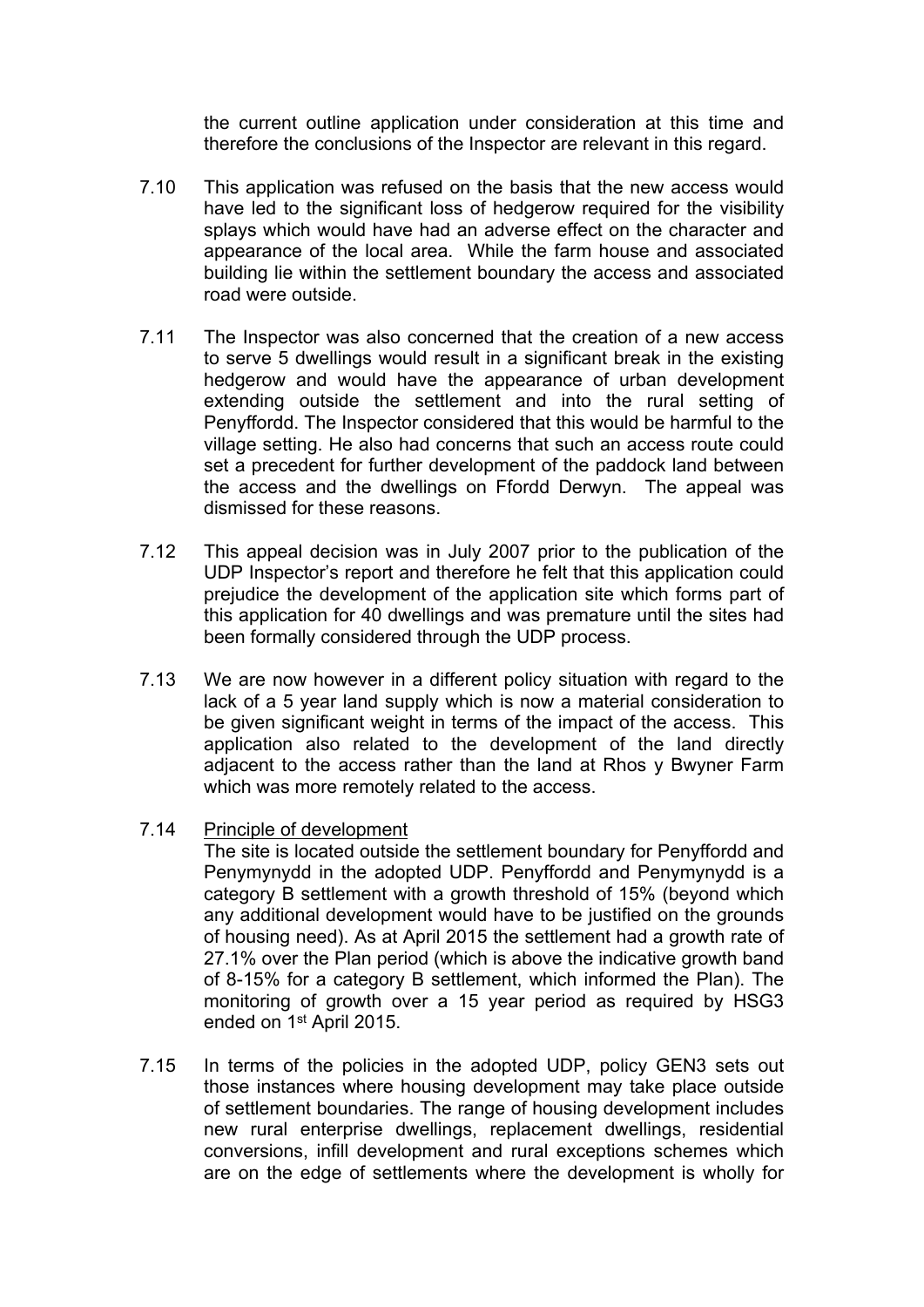the current outline application under consideration at this time and therefore the conclusions of the Inspector are relevant in this regard.

- 7.10 This application was refused on the basis that the new access would have led to the significant loss of hedgerow required for the visibility splays which would have had an adverse effect on the character and appearance of the local area. While the farm house and associated building lie within the settlement boundary the access and associated road were outside.
- 7.11 The Inspector was also concerned that the creation of a new access to serve 5 dwellings would result in a significant break in the existing hedgerow and would have the appearance of urban development extending outside the settlement and into the rural setting of Penyffordd. The Inspector considered that this would be harmful to the village setting. He also had concerns that such an access route could set a precedent for further development of the paddock land between the access and the dwellings on Ffordd Derwyn. The appeal was dismissed for these reasons.
- 7.12 This appeal decision was in July 2007 prior to the publication of the UDP Inspector's report and therefore he felt that this application could prejudice the development of the application site which forms part of this application for 40 dwellings and was premature until the sites had been formally considered through the UDP process.
- 7.13 We are now however in a different policy situation with regard to the lack of a 5 year land supply which is now a material consideration to be given significant weight in terms of the impact of the access. This application also related to the development of the land directly adjacent to the access rather than the land at Rhos y Bwyner Farm which was more remotely related to the access.
- 7.14 Principle of development

The site is located outside the settlement boundary for Penyffordd and Penymynydd in the adopted UDP. Penyffordd and Penymynydd is a category B settlement with a growth threshold of 15% (beyond which any additional development would have to be justified on the grounds of housing need). As at April 2015 the settlement had a growth rate of 27.1% over the Plan period (which is above the indicative growth band of 8-15% for a category B settlement, which informed the Plan). The monitoring of growth over a 15 year period as required by HSG3 ended on 1<sup>st</sup> April 2015.

7.15 In terms of the policies in the adopted UDP, policy GEN3 sets out those instances where housing development may take place outside of settlement boundaries. The range of housing development includes new rural enterprise dwellings, replacement dwellings, residential conversions, infill development and rural exceptions schemes which are on the edge of settlements where the development is wholly for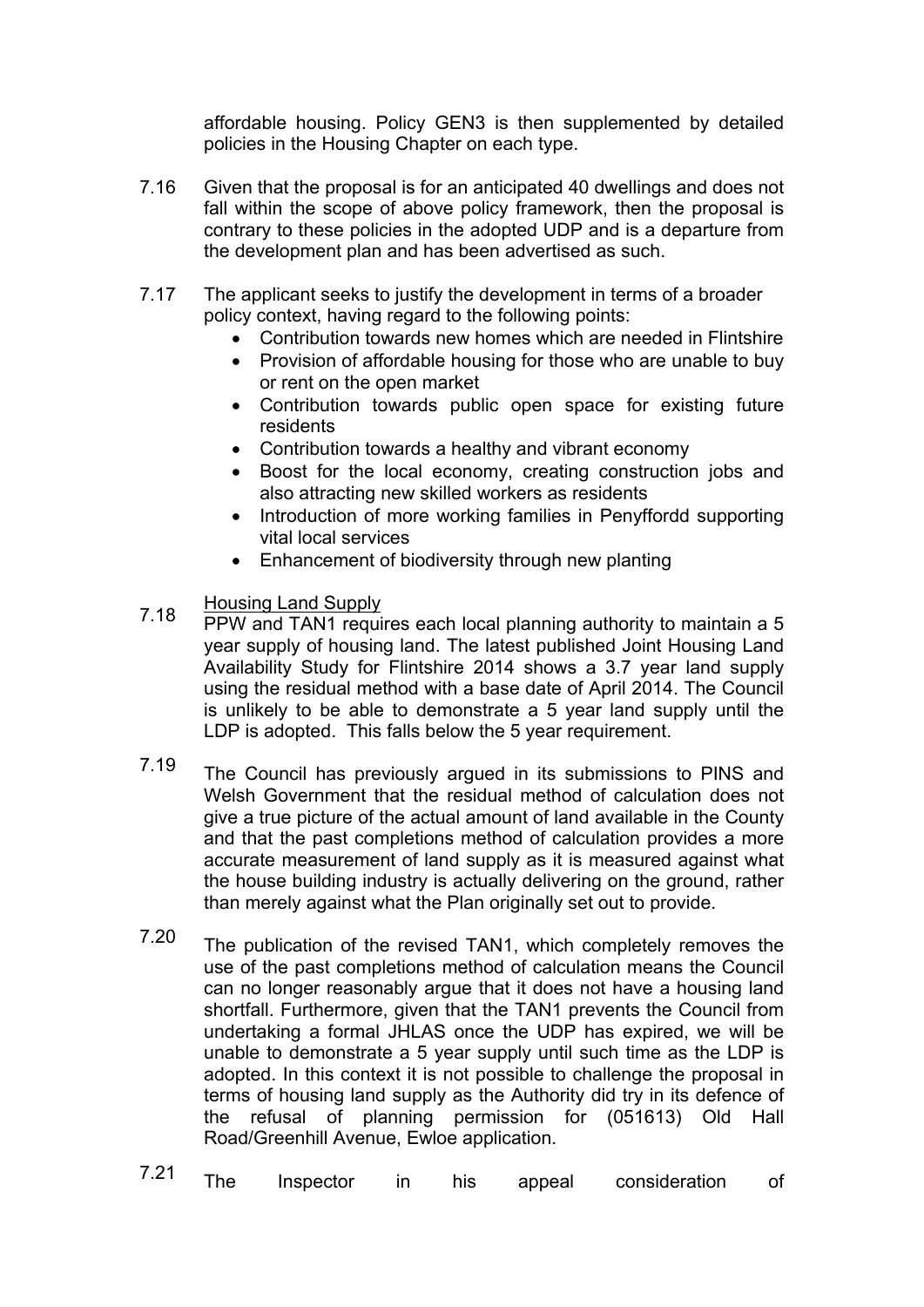affordable housing. Policy GEN3 is then supplemented by detailed policies in the Housing Chapter on each type.

- 7.16 Given that the proposal is for an anticipated 40 dwellings and does not fall within the scope of above policy framework, then the proposal is contrary to these policies in the adopted UDP and is a departure from the development plan and has been advertised as such.
- 7.17 The applicant seeks to justify the development in terms of a broader policy context, having regard to the following points:
	- Contribution towards new homes which are needed in Flintshire
	- Provision of affordable housing for those who are unable to buy or rent on the open market
	- Contribution towards public open space for existing future residents
	- Contribution towards a healthy and vibrant economy
	- Boost for the local economy, creating construction jobs and also attracting new skilled workers as residents
	- Introduction of more working families in Penyffordd supporting vital local services
	- Enhancement of biodiversity through new planting
- 7.18 Housing Land Supply
	- PPW and TAN1 requires each local planning authority to maintain a 5 year supply of housing land. The latest published Joint Housing Land Availability Study for Flintshire 2014 shows a 3.7 year land supply using the residual method with a base date of April 2014. The Council is unlikely to be able to demonstrate a 5 year land supply until the LDP is adopted. This falls below the 5 year requirement.
- 7.19 The Council has previously argued in its submissions to PINS and Welsh Government that the residual method of calculation does not give a true picture of the actual amount of land available in the County and that the past completions method of calculation provides a more accurate measurement of land supply as it is measured against what the house building industry is actually delivering on the ground, rather than merely against what the Plan originally set out to provide.
- 7.20 The publication of the revised TAN1, which completely removes the use of the past completions method of calculation means the Council can no longer reasonably argue that it does not have a housing land shortfall. Furthermore, given that the TAN1 prevents the Council from undertaking a formal JHLAS once the UDP has expired, we will be unable to demonstrate a 5 year supply until such time as the LDP is adopted. In this context it is not possible to challenge the proposal in terms of housing land supply as the Authority did try in its defence of the refusal of planning permission for (051613) Old Hall Road/Greenhill Avenue, Ewloe application.
- 7.21 The Inspector in his appeal consideration of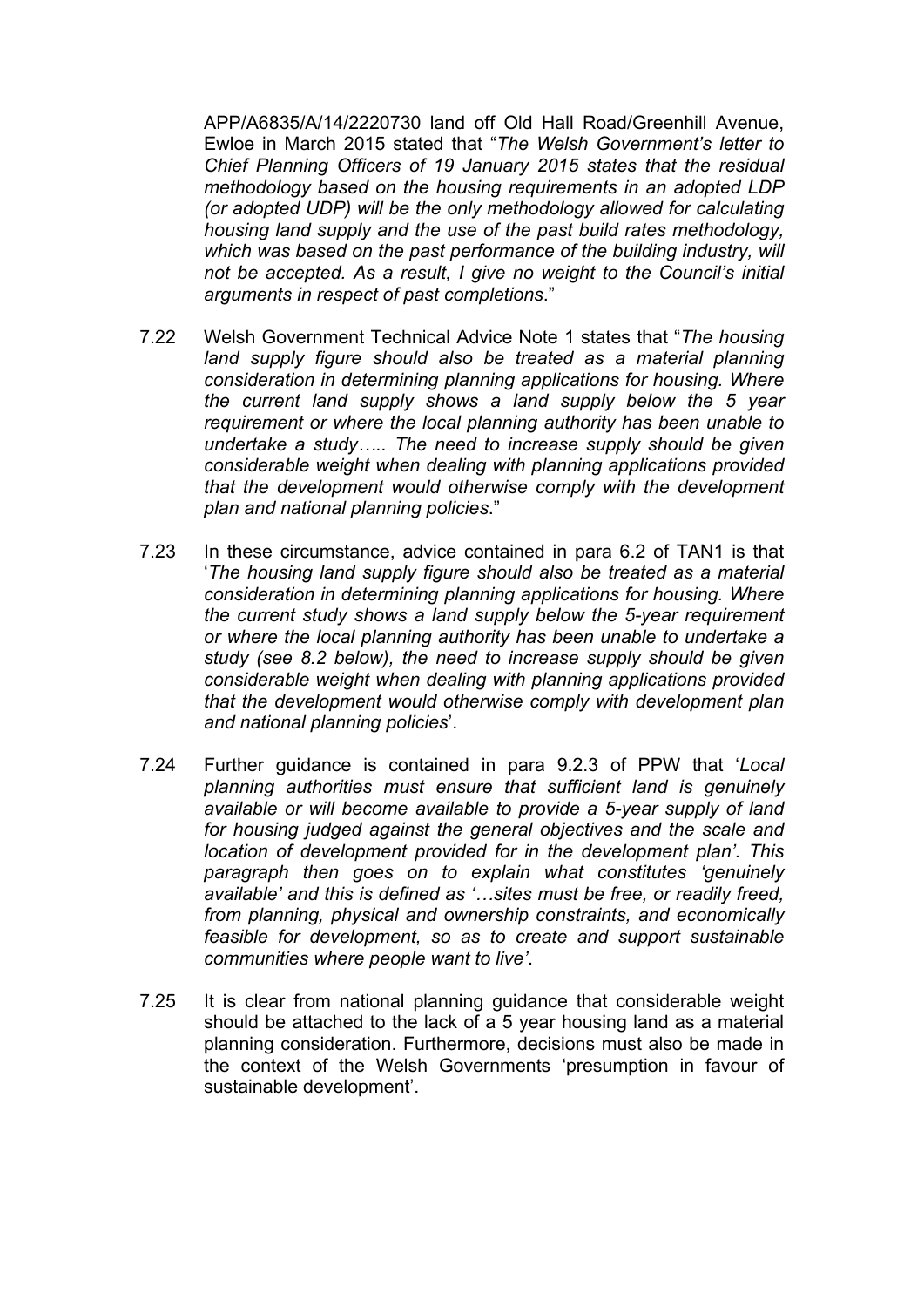APP/A6835/A/14/2220730 land off Old Hall Road/Greenhill Avenue, Ewloe in March 2015 stated that "*The Welsh Government's letter to Chief Planning Officers of 19 January 2015 states that the residual methodology based on the housing requirements in an adopted LDP (or adopted UDP) will be the only methodology allowed for calculating housing land supply and the use of the past build rates methodology, which was based on the past performance of the building industry, will not be accepted. As a result, I give no weight to the Council's initial arguments in respect of past completions*."

- 7.22 Welsh Government Technical Advice Note 1 states that "*The housing land supply figure should also be treated as a material planning consideration in determining planning applications for housing. Where the current land supply shows a land supply below the 5 year requirement or where the local planning authority has been unable to undertake a study….. The need to increase supply should be given considerable weight when dealing with planning applications provided that the development would otherwise comply with the development plan and national planning policies*."
- 7.23 In these circumstance, advice contained in para 6.2 of TAN1 is that '*The housing land supply figure should also be treated as a material consideration in determining planning applications for housing. Where the current study shows a land supply below the 5-year requirement or where the local planning authority has been unable to undertake a study (see 8.2 below), the need to increase supply should be given considerable weight when dealing with planning applications provided that the development would otherwise comply with development plan and national planning policies*'.
- 7.24 Further guidance is contained in para 9.2.3 of PPW that '*Local planning authorities must ensure that sufficient land is genuinely available or will become available to provide a 5-year supply of land for housing judged against the general objectives and the scale and location of development provided for in the development plan'. This paragraph then goes on to explain what constitutes 'genuinely available' and this is defined as '…sites must be free, or readily freed, from planning, physical and ownership constraints, and economically feasible for development, so as to create and support sustainable communities where people want to live'*.
- 7.25 It is clear from national planning guidance that considerable weight should be attached to the lack of a 5 year housing land as a material planning consideration. Furthermore, decisions must also be made in the context of the Welsh Governments 'presumption in favour of sustainable development'.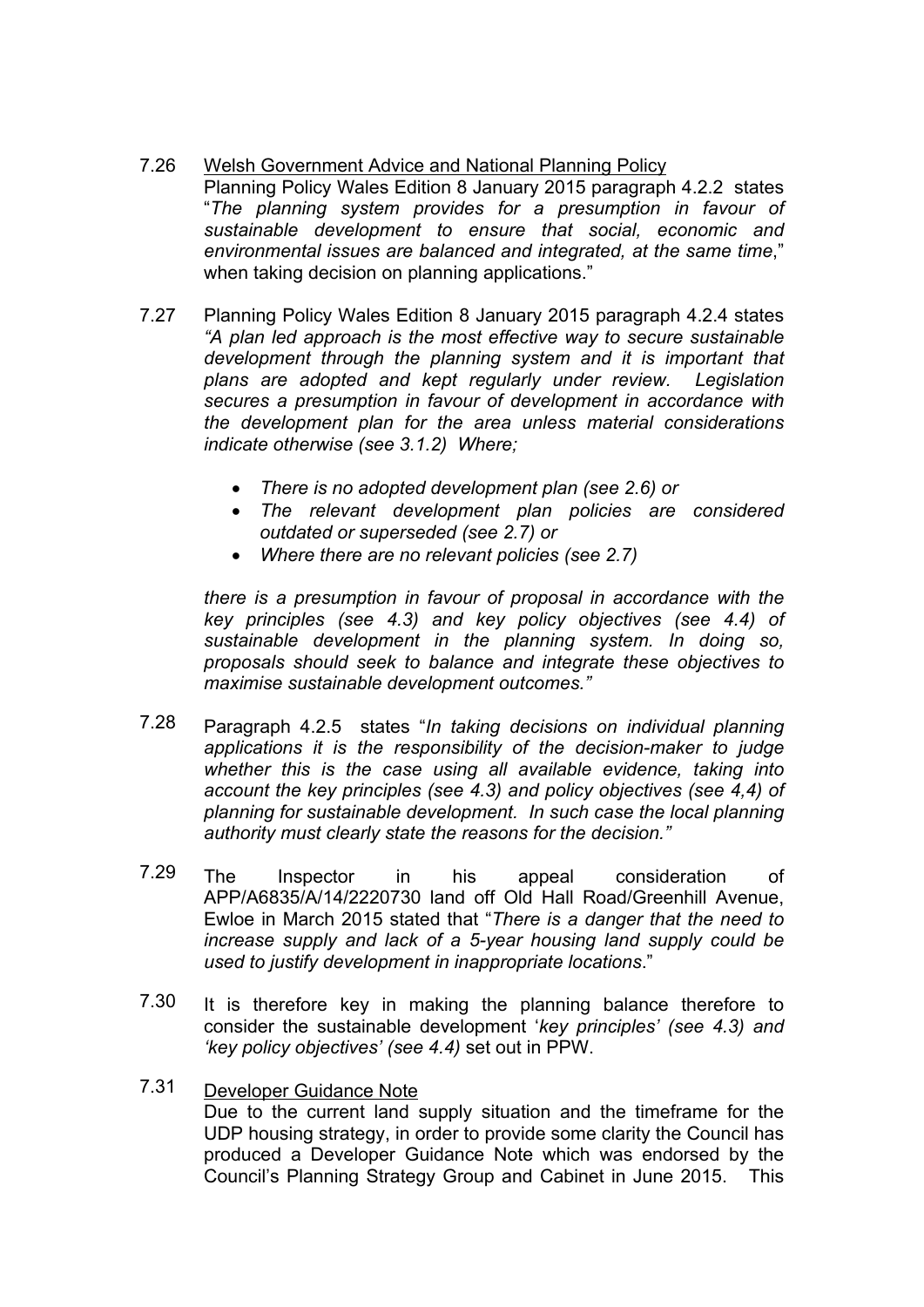- 7.26 Welsh Government Advice and National Planning Policy Planning Policy Wales Edition 8 January 2015 paragraph 4.2.2 states "*The planning system provides for a presumption in favour of sustainable development to ensure that social, economic and environmental issues are balanced and integrated, at the same time*," when taking decision on planning applications."
- 7.27 Planning Policy Wales Edition 8 January 2015 paragraph 4.2.4 states *"A plan led approach is the most effective way to secure sustainable development through the planning system and it is important that plans are adopted and kept regularly under review. Legislation secures a presumption in favour of development in accordance with the development plan for the area unless material considerations indicate otherwise (see 3.1.2) Where;*
	- *There is no adopted development plan (see 2.6) or*
	- *The relevant development plan policies are considered outdated or superseded (see 2.7) or*
	- *Where there are no relevant policies (see 2.7)*

*there is a presumption in favour of proposal in accordance with the key principles (see 4.3) and key policy objectives (see 4.4) of sustainable development in the planning system. In doing so, proposals should seek to balance and integrate these objectives to maximise sustainable development outcomes."*

- 7.28 Paragraph 4.2.5 states "*In taking decisions on individual planning applications it is the responsibility of the decision-maker to judge whether this is the case using all available evidence, taking into account the key principles (see 4.3) and policy objectives (see 4,4) of planning for sustainable development. In such case the local planning authority must clearly state the reasons for the decision."*
- 7.29 The Inspector in his appeal consideration of APP/A6835/A/14/2220730 land off Old Hall Road/Greenhill Avenue, Ewloe in March 2015 stated that "*There is a danger that the need to increase supply and lack of a 5-year housing land supply could be used to justify development in inappropriate locations*."
- 7.30 It is therefore key in making the planning balance therefore to consider the sustainable development '*key principles' (see 4.3) and 'key policy objectives' (see 4.4)* set out in PPW.
- 7.31 Developer Guidance Note Due to the current land supply situation and the timeframe for the UDP housing strategy, in order to provide some clarity the Council has produced a Developer Guidance Note which was endorsed by the Council's Planning Strategy Group and Cabinet in June 2015. This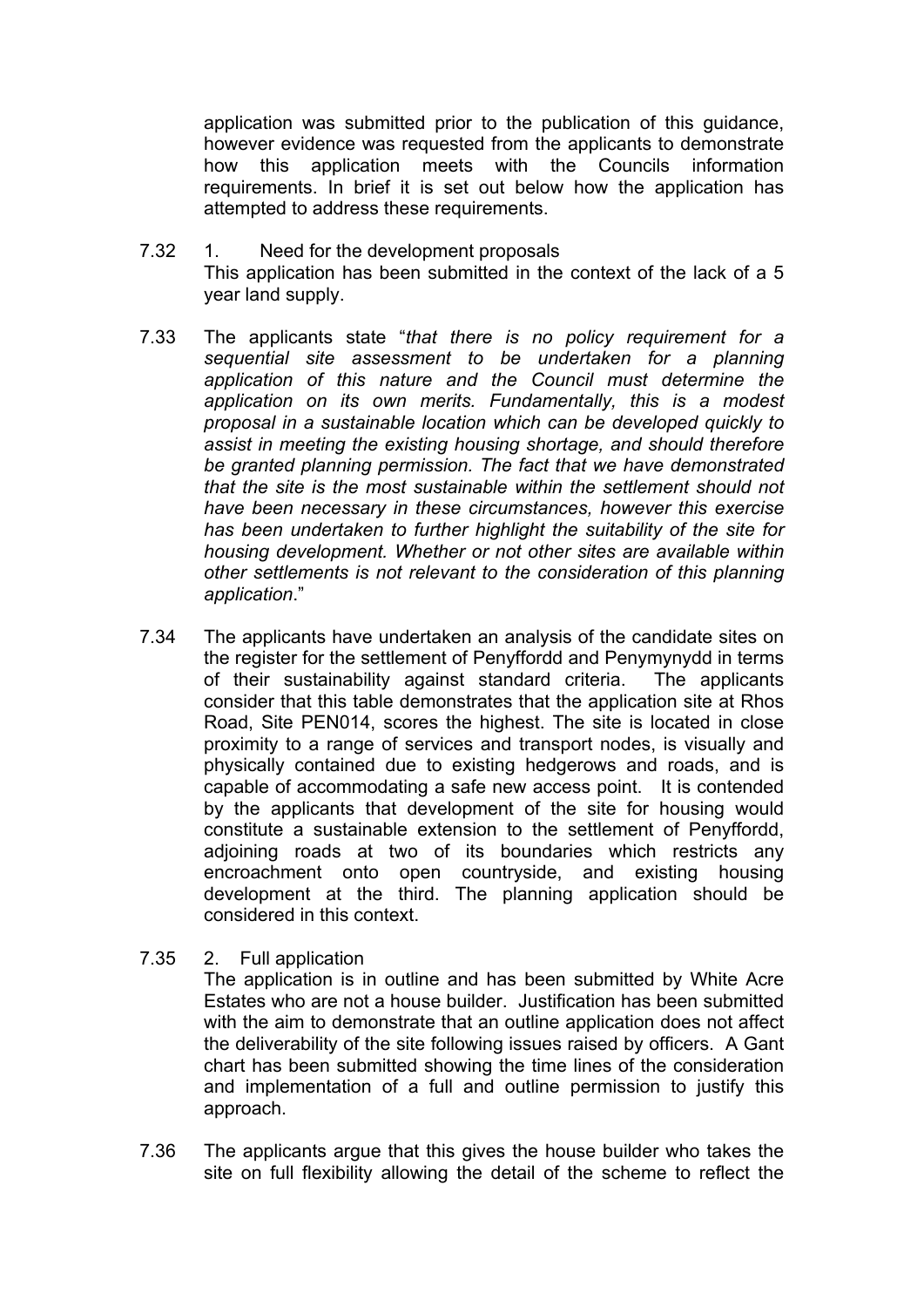application was submitted prior to the publication of this guidance, however evidence was requested from the applicants to demonstrate how this application meets with the Councils information requirements. In brief it is set out below how the application has attempted to address these requirements.

- 7.32 1. Need for the development proposals This application has been submitted in the context of the lack of a 5 year land supply.
- 7.33 The applicants state "*that there is no policy requirement for a sequential site assessment to be undertaken for a planning application of this nature and the Council must determine the application on its own merits. Fundamentally, this is a modest proposal in a sustainable location which can be developed quickly to assist in meeting the existing housing shortage, and should therefore be granted planning permission. The fact that we have demonstrated that the site is the most sustainable within the settlement should not have been necessary in these circumstances, however this exercise has been undertaken to further highlight the suitability of the site for housing development. Whether or not other sites are available within other settlements is not relevant to the consideration of this planning application*."
- 7.34 The applicants have undertaken an analysis of the candidate sites on the register for the settlement of Penyffordd and Penymynydd in terms of their sustainability against standard criteria. The applicants consider that this table demonstrates that the application site at Rhos Road, Site PEN014, scores the highest. The site is located in close proximity to a range of services and transport nodes, is visually and physically contained due to existing hedgerows and roads, and is capable of accommodating a safe new access point. It is contended by the applicants that development of the site for housing would constitute a sustainable extension to the settlement of Penyffordd, adjoining roads at two of its boundaries which restricts any encroachment onto open countryside, and existing housing development at the third. The planning application should be considered in this context.
- 7.35 2. Full application

The application is in outline and has been submitted by White Acre Estates who are not a house builder. Justification has been submitted with the aim to demonstrate that an outline application does not affect the deliverability of the site following issues raised by officers. A Gant chart has been submitted showing the time lines of the consideration and implementation of a full and outline permission to justify this approach.

7.36 The applicants argue that this gives the house builder who takes the site on full flexibility allowing the detail of the scheme to reflect the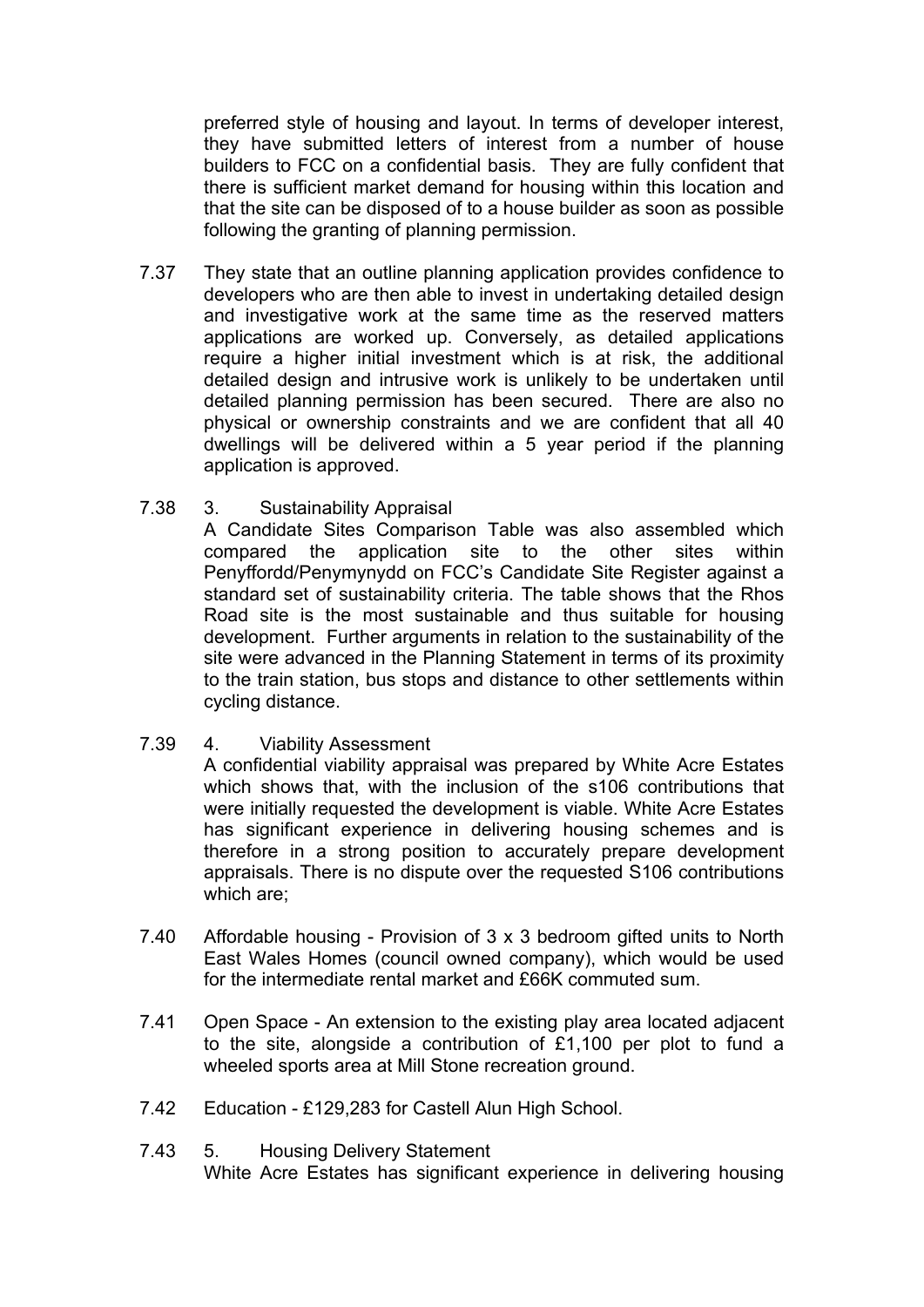preferred style of housing and layout. In terms of developer interest, they have submitted letters of interest from a number of house builders to FCC on a confidential basis. They are fully confident that there is sufficient market demand for housing within this location and that the site can be disposed of to a house builder as soon as possible following the granting of planning permission.

- 7.37 They state that an outline planning application provides confidence to developers who are then able to invest in undertaking detailed design and investigative work at the same time as the reserved matters applications are worked up. Conversely, as detailed applications require a higher initial investment which is at risk, the additional detailed design and intrusive work is unlikely to be undertaken until detailed planning permission has been secured. There are also no physical or ownership constraints and we are confident that all 40 dwellings will be delivered within a 5 year period if the planning application is approved.
- 7.38 3. Sustainability Appraisal

A Candidate Sites Comparison Table was also assembled which compared the application site to the other sites within Penyffordd/Penymynydd on FCC's Candidate Site Register against a standard set of sustainability criteria. The table shows that the Rhos Road site is the most sustainable and thus suitable for housing development. Further arguments in relation to the sustainability of the site were advanced in the Planning Statement in terms of its proximity to the train station, bus stops and distance to other settlements within cycling distance.

7.39 4. Viability Assessment

A confidential viability appraisal was prepared by White Acre Estates which shows that, with the inclusion of the s106 contributions that were initially requested the development is viable. White Acre Estates has significant experience in delivering housing schemes and is therefore in a strong position to accurately prepare development appraisals. There is no dispute over the requested S106 contributions which are;

- 7.40 Affordable housing - Provision of 3 x 3 bedroom gifted units to North East Wales Homes (council owned company), which would be used for the intermediate rental market and £66K commuted sum.
- 7.41 Open Space - An extension to the existing play area located adjacent to the site, alongside a contribution of £1,100 per plot to fund a wheeled sports area at Mill Stone recreation ground.
- 7.42 Education - £129,283 for Castell Alun High School.

#### 7.43 5. Housing Delivery Statement

White Acre Estates has significant experience in delivering housing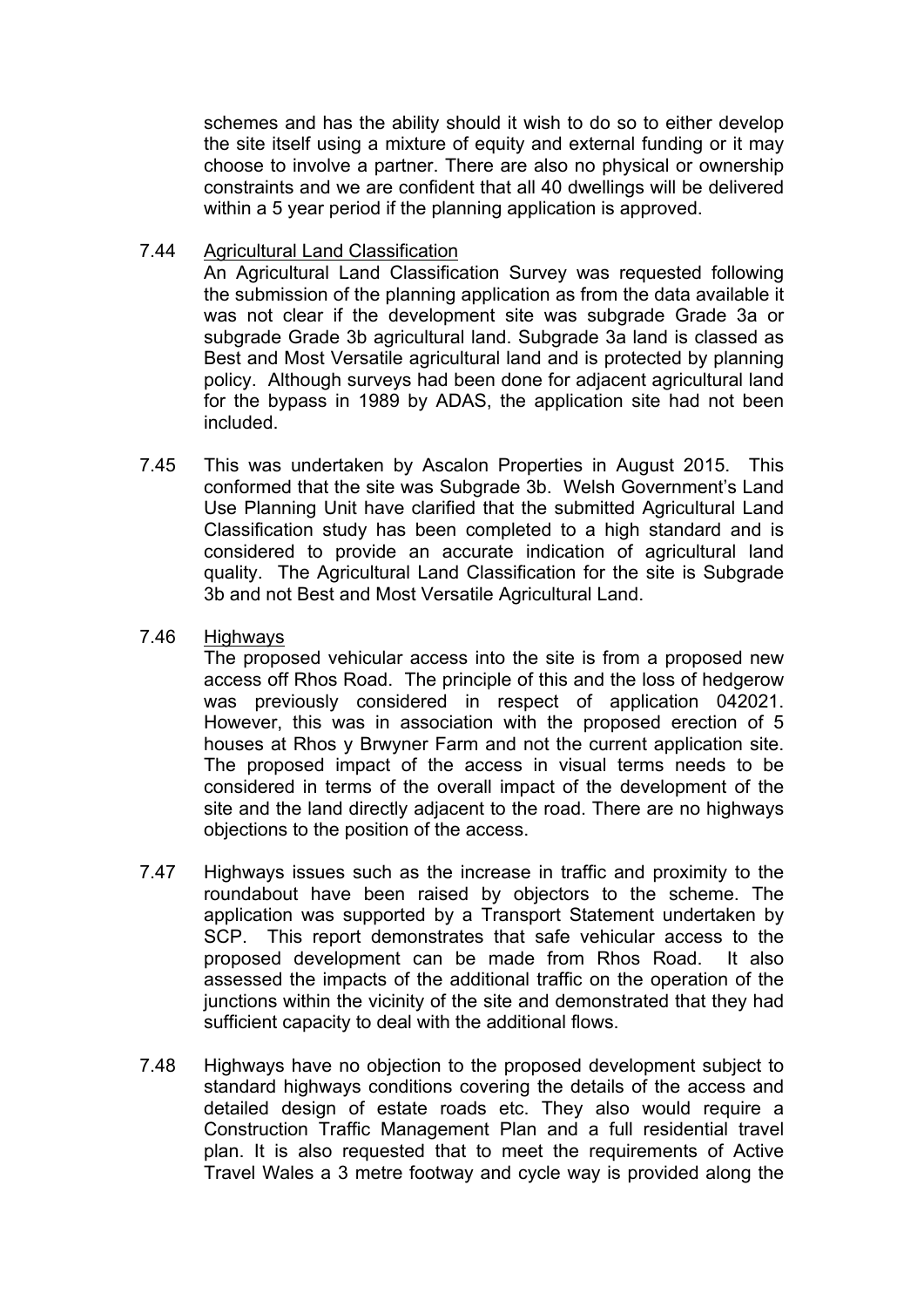schemes and has the ability should it wish to do so to either develop the site itself using a mixture of equity and external funding or it may choose to involve a partner. There are also no physical or ownership constraints and we are confident that all 40 dwellings will be delivered within a 5 year period if the planning application is approved.

7.44 Agricultural Land Classification

> An Agricultural Land Classification Survey was requested following the submission of the planning application as from the data available it was not clear if the development site was subgrade Grade 3a or subgrade Grade 3b agricultural land. Subgrade 3a land is classed as Best and Most Versatile agricultural land and is protected by planning policy. Although surveys had been done for adjacent agricultural land for the bypass in 1989 by ADAS, the application site had not been included.

- 7.45 This was undertaken by Ascalon Properties in August 2015. This conformed that the site was Subgrade 3b. Welsh Government's Land Use Planning Unit have clarified that the submitted Agricultural Land Classification study has been completed to a high standard and is considered to provide an accurate indication of agricultural land quality. The Agricultural Land Classification for the site is Subgrade 3b and not Best and Most Versatile Agricultural Land.
- 7.46 **Highways**

The proposed vehicular access into the site is from a proposed new access off Rhos Road. The principle of this and the loss of hedgerow was previously considered in respect of application 042021. However, this was in association with the proposed erection of 5 houses at Rhos y Brwyner Farm and not the current application site. The proposed impact of the access in visual terms needs to be considered in terms of the overall impact of the development of the site and the land directly adjacent to the road. There are no highways objections to the position of the access.

- 7.47 Highways issues such as the increase in traffic and proximity to the roundabout have been raised by objectors to the scheme. The application was supported by a Transport Statement undertaken by SCP. This report demonstrates that safe vehicular access to the proposed development can be made from Rhos Road. It also assessed the impacts of the additional traffic on the operation of the junctions within the vicinity of the site and demonstrated that they had sufficient capacity to deal with the additional flows.
- 7.48 Highways have no objection to the proposed development subject to standard highways conditions covering the details of the access and detailed design of estate roads etc. They also would require a Construction Traffic Management Plan and a full residential travel plan. It is also requested that to meet the requirements of Active Travel Wales a 3 metre footway and cycle way is provided along the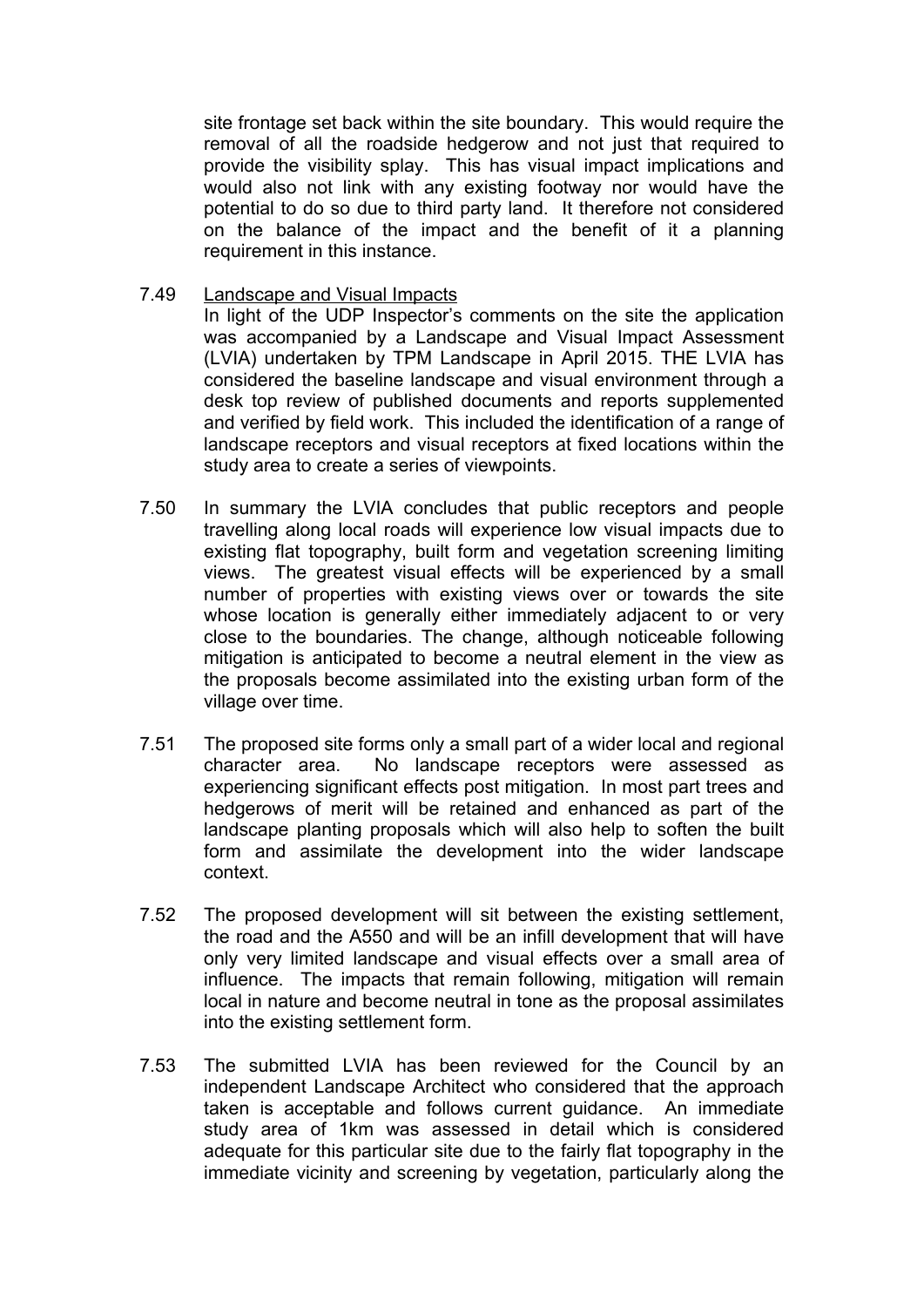site frontage set back within the site boundary. This would require the removal of all the roadside hedgerow and not just that required to provide the visibility splay. This has visual impact implications and would also not link with any existing footway nor would have the potential to do so due to third party land. It therefore not considered on the balance of the impact and the benefit of it a planning requirement in this instance.

7.49 Landscape and Visual Impacts

> In light of the UDP Inspector's comments on the site the application was accompanied by a Landscape and Visual Impact Assessment (LVIA) undertaken by TPM Landscape in April 2015. THE LVIA has considered the baseline landscape and visual environment through a desk top review of published documents and reports supplemented and verified by field work. This included the identification of a range of landscape receptors and visual receptors at fixed locations within the study area to create a series of viewpoints.

- 7.50 In summary the LVIA concludes that public receptors and people travelling along local roads will experience low visual impacts due to existing flat topography, built form and vegetation screening limiting views. The greatest visual effects will be experienced by a small number of properties with existing views over or towards the site whose location is generally either immediately adjacent to or very close to the boundaries. The change, although noticeable following mitigation is anticipated to become a neutral element in the view as the proposals become assimilated into the existing urban form of the village over time.
- 7.51 The proposed site forms only a small part of a wider local and regional character area. No landscape receptors were assessed as experiencing significant effects post mitigation. In most part trees and hedgerows of merit will be retained and enhanced as part of the landscape planting proposals which will also help to soften the built form and assimilate the development into the wider landscape context.
- 7.52 The proposed development will sit between the existing settlement, the road and the A550 and will be an infill development that will have only very limited landscape and visual effects over a small area of influence. The impacts that remain following, mitigation will remain local in nature and become neutral in tone as the proposal assimilates into the existing settlement form.
- 7.53 The submitted LVIA has been reviewed for the Council by an independent Landscape Architect who considered that the approach taken is acceptable and follows current guidance. An immediate study area of 1km was assessed in detail which is considered adequate for this particular site due to the fairly flat topography in the immediate vicinity and screening by vegetation, particularly along the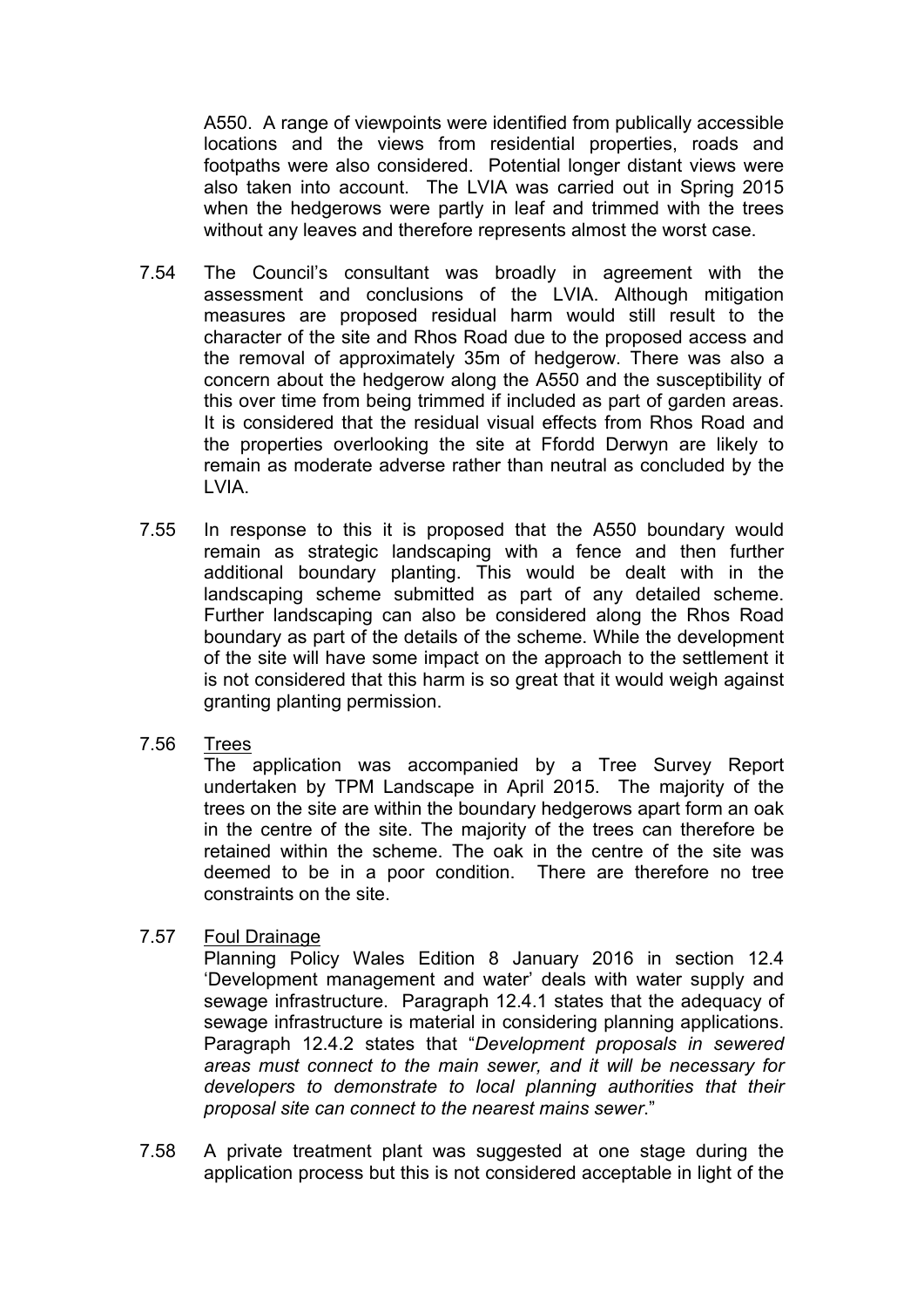A550. A range of viewpoints were identified from publically accessible locations and the views from residential properties, roads and footpaths were also considered. Potential longer distant views were also taken into account. The LVIA was carried out in Spring 2015 when the hedgerows were partly in leaf and trimmed with the trees without any leaves and therefore represents almost the worst case.

- 7.54 The Council's consultant was broadly in agreement with the assessment and conclusions of the LVIA. Although mitigation measures are proposed residual harm would still result to the character of the site and Rhos Road due to the proposed access and the removal of approximately 35m of hedgerow. There was also a concern about the hedgerow along the A550 and the susceptibility of this over time from being trimmed if included as part of garden areas. It is considered that the residual visual effects from Rhos Road and the properties overlooking the site at Ffordd Derwyn are likely to remain as moderate adverse rather than neutral as concluded by the LVIA.
- 7.55 In response to this it is proposed that the A550 boundary would remain as strategic landscaping with a fence and then further additional boundary planting. This would be dealt with in the landscaping scheme submitted as part of any detailed scheme. Further landscaping can also be considered along the Rhos Road boundary as part of the details of the scheme. While the development of the site will have some impact on the approach to the settlement it is not considered that this harm is so great that it would weigh against granting planting permission.
- 7.56 **Trees**

The application was accompanied by a Tree Survey Report undertaken by TPM Landscape in April 2015. The majority of the trees on the site are within the boundary hedgerows apart form an oak in the centre of the site. The majority of the trees can therefore be retained within the scheme. The oak in the centre of the site was deemed to be in a poor condition. There are therefore no tree constraints on the site.

7.57 Foul Drainage

> Planning Policy Wales Edition 8 January 2016 in section 12.4 'Development management and water' deals with water supply and sewage infrastructure. Paragraph 12.4.1 states that the adequacy of sewage infrastructure is material in considering planning applications. Paragraph 12.4.2 states that "*Development proposals in sewered areas must connect to the main sewer, and it will be necessary for developers to demonstrate to local planning authorities that their proposal site can connect to the nearest mains sewer*."

7.58 A private treatment plant was suggested at one stage during the application process but this is not considered acceptable in light of the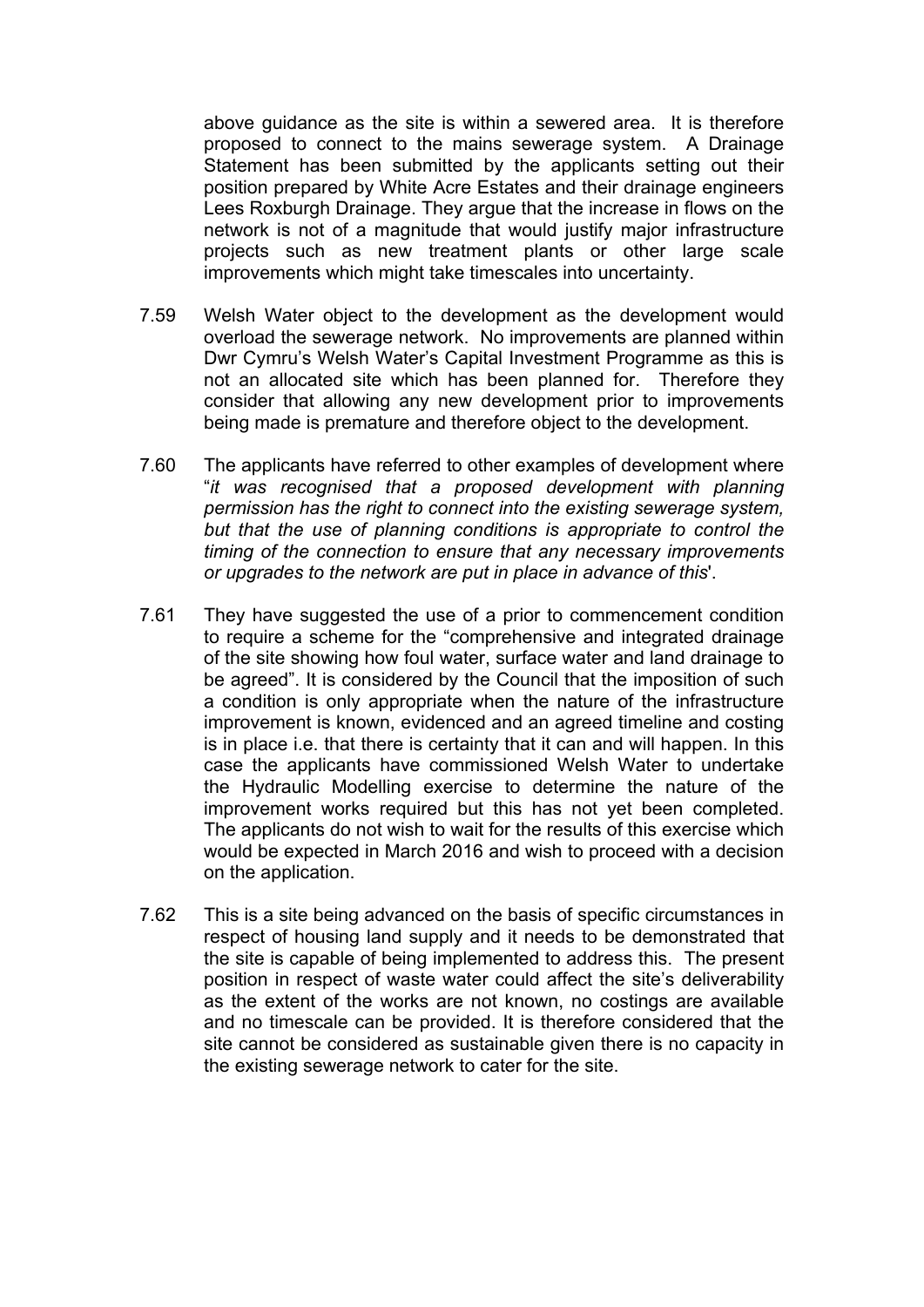above guidance as the site is within a sewered area. It is therefore proposed to connect to the mains sewerage system. A Drainage Statement has been submitted by the applicants setting out their position prepared by White Acre Estates and their drainage engineers Lees Roxburgh Drainage. They argue that the increase in flows on the network is not of a magnitude that would justify major infrastructure projects such as new treatment plants or other large scale improvements which might take timescales into uncertainty.

- 7.59 Welsh Water object to the development as the development would overload the sewerage network. No improvements are planned within Dwr Cymru's Welsh Water's Capital Investment Programme as this is not an allocated site which has been planned for. Therefore they consider that allowing any new development prior to improvements being made is premature and therefore object to the development.
- 7.60 The applicants have referred to other examples of development where "*it was recognised that a proposed development with planning permission has the right to connect into the existing sewerage system, but that the use of planning conditions is appropriate to control the timing of the connection to ensure that any necessary improvements or upgrades to the network are put in place in advance of this*'.
- 7.61 They have suggested the use of a prior to commencement condition to require a scheme for the "comprehensive and integrated drainage of the site showing how foul water, surface water and land drainage to be agreed". It is considered by the Council that the imposition of such a condition is only appropriate when the nature of the infrastructure improvement is known, evidenced and an agreed timeline and costing is in place i.e. that there is certainty that it can and will happen. In this case the applicants have commissioned Welsh Water to undertake the Hydraulic Modelling exercise to determine the nature of the improvement works required but this has not yet been completed. The applicants do not wish to wait for the results of this exercise which would be expected in March 2016 and wish to proceed with a decision on the application.
- 7.62 This is a site being advanced on the basis of specific circumstances in respect of housing land supply and it needs to be demonstrated that the site is capable of being implemented to address this. The present position in respect of waste water could affect the site's deliverability as the extent of the works are not known, no costings are available and no timescale can be provided. It is therefore considered that the site cannot be considered as sustainable given there is no capacity in the existing sewerage network to cater for the site.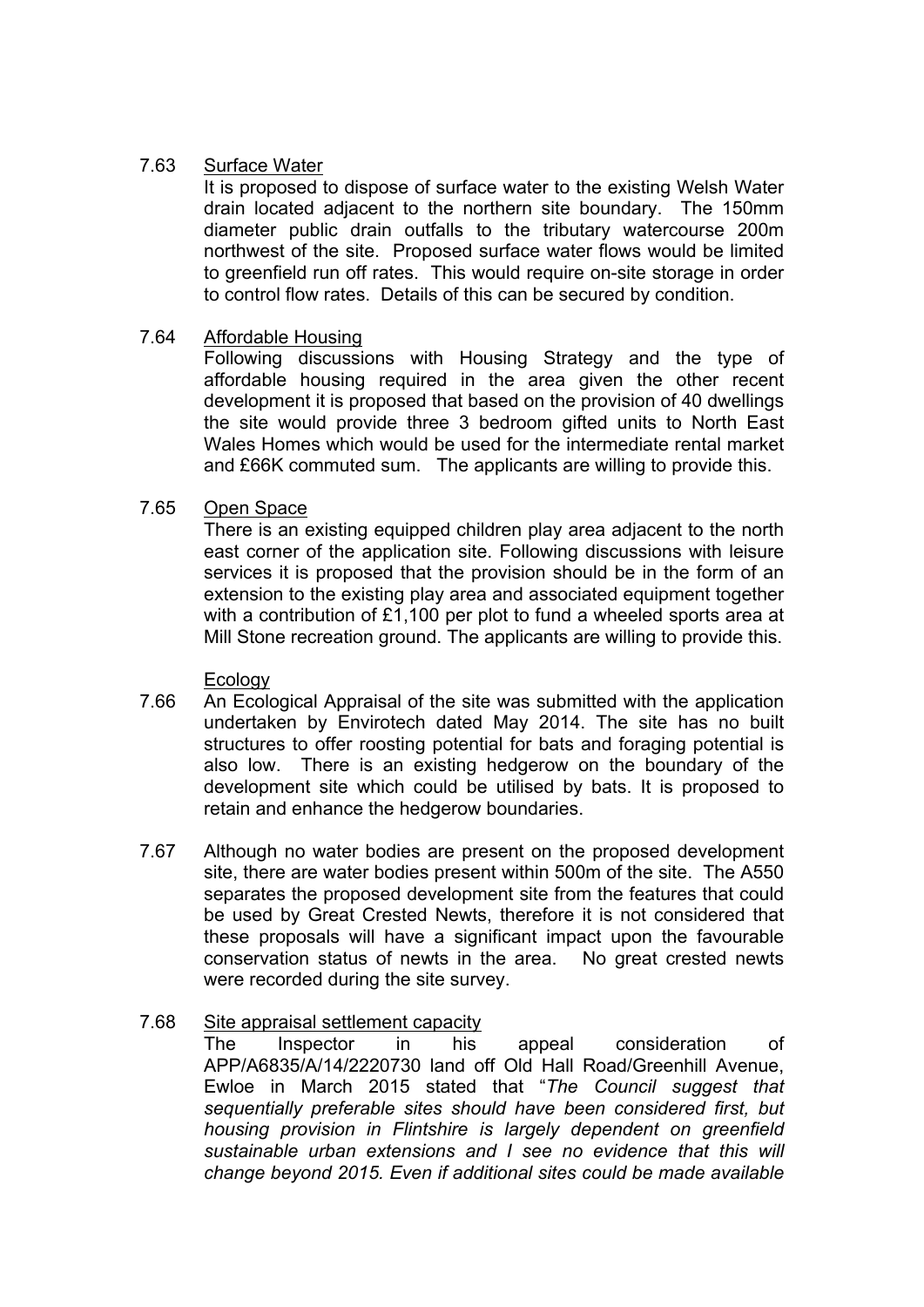#### 7.63 Surface Water

It is proposed to dispose of surface water to the existing Welsh Water drain located adjacent to the northern site boundary. The 150mm diameter public drain outfalls to the tributary watercourse 200m northwest of the site. Proposed surface water flows would be limited to greenfield run off rates. This would require on-site storage in order to control flow rates. Details of this can be secured by condition.

#### 7.64 Affordable Housing

Following discussions with Housing Strategy and the type of affordable housing required in the area given the other recent development it is proposed that based on the provision of 40 dwellings the site would provide three 3 bedroom gifted units to North East Wales Homes which would be used for the intermediate rental market and £66K commuted sum. The applicants are willing to provide this.

#### 7.65 Open Space

There is an existing equipped children play area adjacent to the north east corner of the application site. Following discussions with leisure services it is proposed that the provision should be in the form of an extension to the existing play area and associated equipment together with a contribution of £1,100 per plot to fund a wheeled sports area at Mill Stone recreation ground. The applicants are willing to provide this.

## Ecology

- 7.66 An Ecological Appraisal of the site was submitted with the application undertaken by Envirotech dated May 2014. The site has no built structures to offer roosting potential for bats and foraging potential is also low. There is an existing hedgerow on the boundary of the development site which could be utilised by bats. It is proposed to retain and enhance the hedgerow boundaries.
- 7.67 Although no water bodies are present on the proposed development site, there are water bodies present within 500m of the site. The A550 separates the proposed development site from the features that could be used by Great Crested Newts, therefore it is not considered that these proposals will have a significant impact upon the favourable conservation status of newts in the area. No great crested newts were recorded during the site survey.

#### 7.68 Site appraisal settlement capacity

The Inspector in his appeal consideration of APP/A6835/A/14/2220730 land off Old Hall Road/Greenhill Avenue, Ewloe in March 2015 stated that "*The Council suggest that sequentially preferable sites should have been considered first, but housing provision in Flintshire is largely dependent on greenfield sustainable urban extensions and I see no evidence that this will change beyond 2015. Even if additional sites could be made available*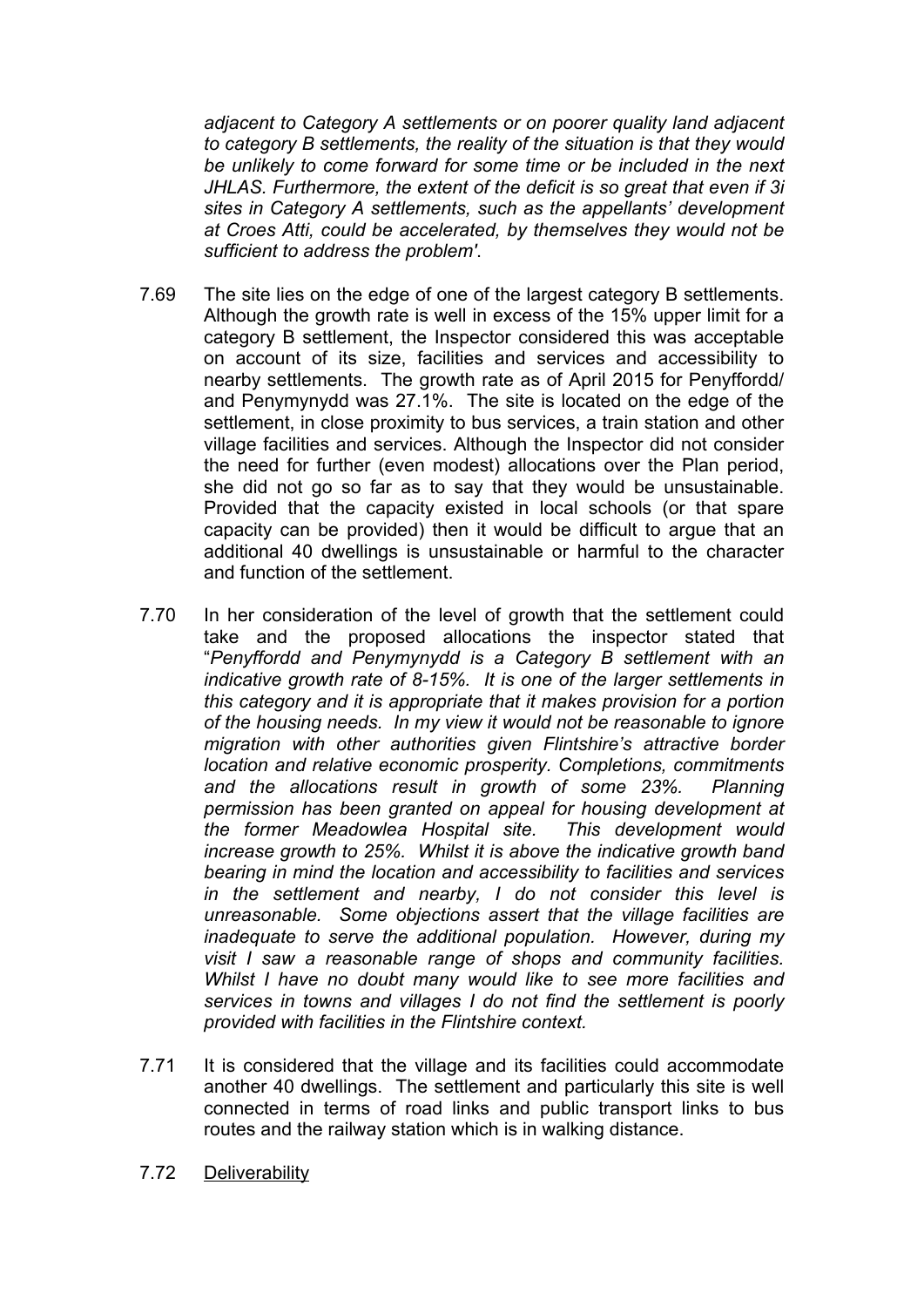*adjacent to Category A settlements or on poorer quality land adjacent to category B settlements, the reality of the situation is that they would be unlikely to come forward for some time or be included in the next JHLAS. Furthermore, the extent of the deficit is so great that even if 3i sites in Category A settlements, such as the appellants' development at Croes Atti, could be accelerated, by themselves they would not be sufficient to address the problem'*.

- 7.69 The site lies on the edge of one of the largest category B settlements. Although the growth rate is well in excess of the 15% upper limit for a category B settlement, the Inspector considered this was acceptable on account of its size, facilities and services and accessibility to nearby settlements. The growth rate as of April 2015 for Penyffordd/ and Penymynydd was 27.1%. The site is located on the edge of the settlement, in close proximity to bus services, a train station and other village facilities and services. Although the Inspector did not consider the need for further (even modest) allocations over the Plan period, she did not go so far as to say that they would be unsustainable. Provided that the capacity existed in local schools (or that spare capacity can be provided) then it would be difficult to argue that an additional 40 dwellings is unsustainable or harmful to the character and function of the settlement.
- 7.70 In her consideration of the level of growth that the settlement could take and the proposed allocations the inspector stated that "*Penyffordd and Penymynydd is a Category B settlement with an indicative growth rate of 8-15%. It is one of the larger settlements in this category and it is appropriate that it makes provision for a portion of the housing needs. In my view it would not be reasonable to ignore migration with other authorities given Flintshire's attractive border location and relative economic prosperity. Completions, commitments and the allocations result in growth of some 23%. Planning permission has been granted on appeal for housing development at the former Meadowlea Hospital site. This development would increase growth to 25%. Whilst it is above the indicative growth band bearing in mind the location and accessibility to facilities and services in the settlement and nearby, I do not consider this level is unreasonable. Some objections assert that the village facilities are inadequate to serve the additional population. However, during my visit I saw a reasonable range of shops and community facilities. Whilst I have no doubt many would like to see more facilities and services in towns and villages I do not find the settlement is poorly provided with facilities in the Flintshire context.*
- 7.71 It is considered that the village and its facilities could accommodate another 40 dwellings. The settlement and particularly this site is well connected in terms of road links and public transport links to bus routes and the railway station which is in walking distance.
- 7.72 **Deliverability**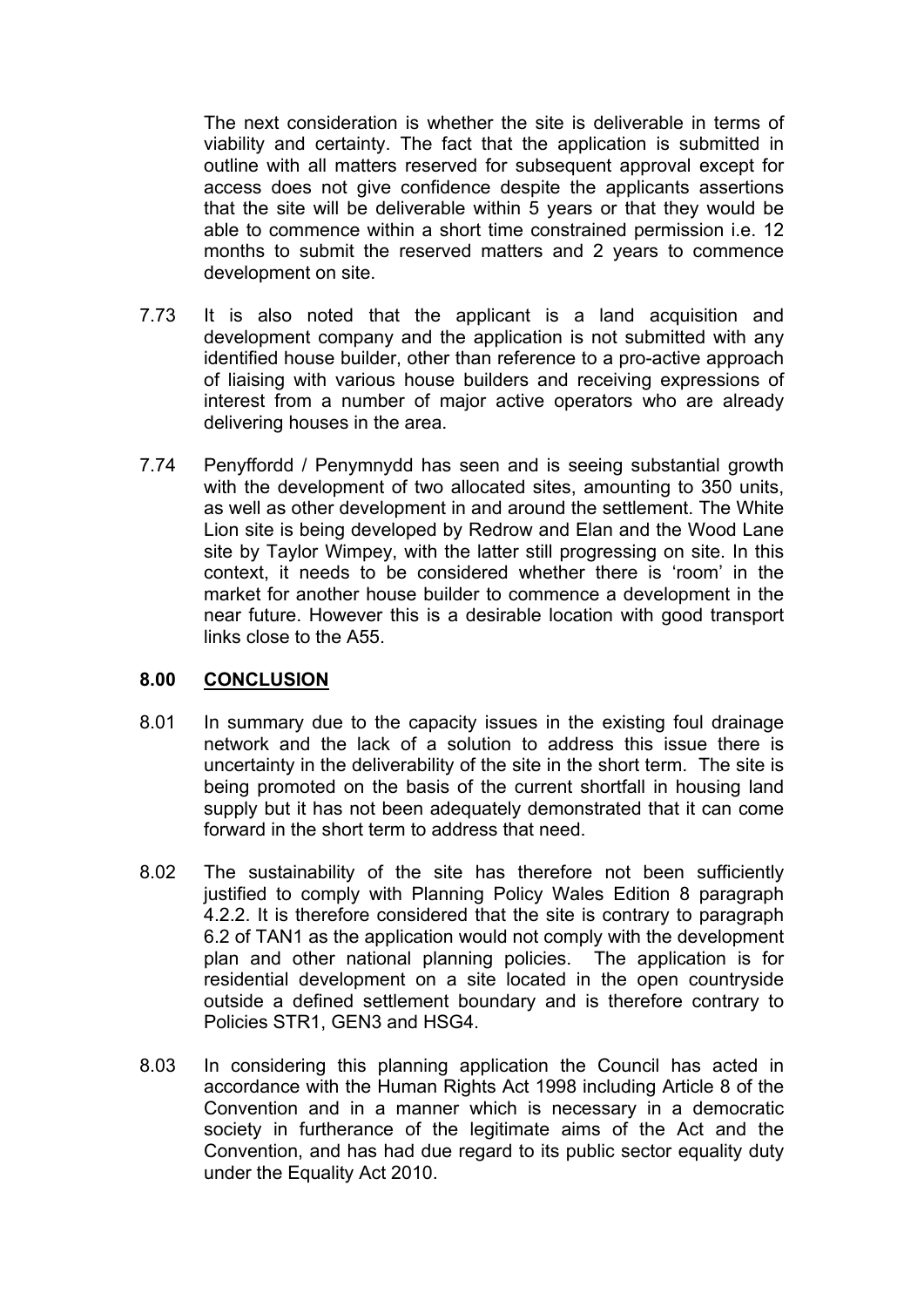The next consideration is whether the site is deliverable in terms of viability and certainty. The fact that the application is submitted in outline with all matters reserved for subsequent approval except for access does not give confidence despite the applicants assertions that the site will be deliverable within 5 years or that they would be able to commence within a short time constrained permission i.e. 12 months to submit the reserved matters and 2 years to commence development on site.

- 7.73 It is also noted that the applicant is a land acquisition and development company and the application is not submitted with any identified house builder, other than reference to a pro-active approach of liaising with various house builders and receiving expressions of interest from a number of major active operators who are already delivering houses in the area.
- 7.74 Penyffordd / Penymnydd has seen and is seeing substantial growth with the development of two allocated sites, amounting to 350 units, as well as other development in and around the settlement. The White Lion site is being developed by Redrow and Elan and the Wood Lane site by Taylor Wimpey, with the latter still progressing on site. In this context, it needs to be considered whether there is 'room' in the market for another house builder to commence a development in the near future. However this is a desirable location with good transport links close to the A55.

## **8.00 CONCLUSION**

- 8.01 In summary due to the capacity issues in the existing foul drainage network and the lack of a solution to address this issue there is uncertainty in the deliverability of the site in the short term. The site is being promoted on the basis of the current shortfall in housing land supply but it has not been adequately demonstrated that it can come forward in the short term to address that need.
- 8.02 The sustainability of the site has therefore not been sufficiently justified to comply with Planning Policy Wales Edition 8 paragraph 4.2.2. It is therefore considered that the site is contrary to paragraph 6.2 of TAN1 as the application would not comply with the development plan and other national planning policies. The application is for residential development on a site located in the open countryside outside a defined settlement boundary and is therefore contrary to Policies STR1, GEN3 and HSG4.
- 8.03 In considering this planning application the Council has acted in accordance with the Human Rights Act 1998 including Article 8 of the Convention and in a manner which is necessary in a democratic society in furtherance of the legitimate aims of the Act and the Convention, and has had due regard to its public sector equality duty under the Equality Act 2010.